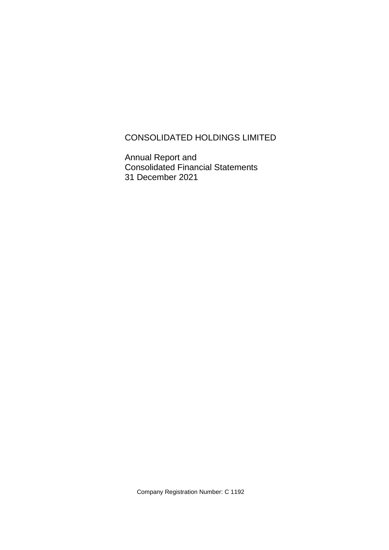# CONSOLIDATED HOLDINGS LIMITED

Annual Report and Consolidated Financial Statements 31 December 2021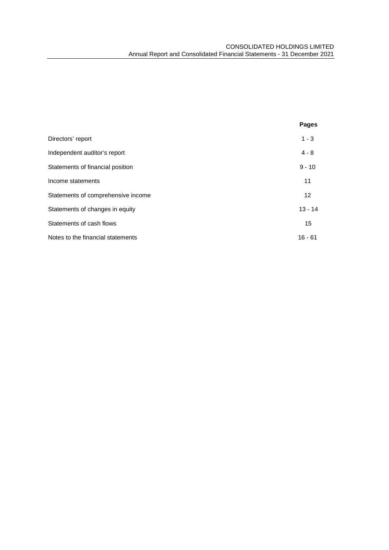|                                    | <b>Pages</b> |
|------------------------------------|--------------|
| Directors' report                  | $1 - 3$      |
| Independent auditor's report       | $4 - 8$      |
| Statements of financial position   | $9 - 10$     |
| Income statements                  | 11           |
| Statements of comprehensive income | 12           |
| Statements of changes in equity    | $13 - 14$    |
| Statements of cash flows           | 15           |
| Notes to the financial statements  | $16 - 61$    |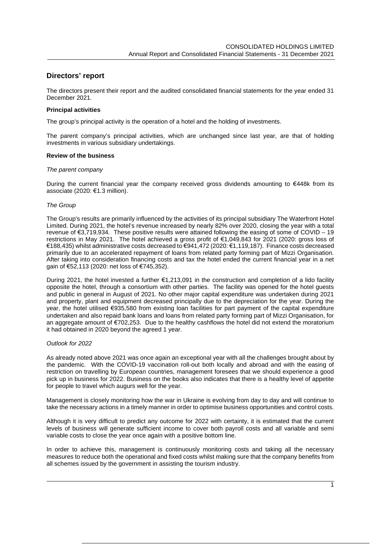# **Directors' report**

The directors present their report and the audited consolidated financial statements for the year ended 31 December 2021.

# **Principal activities**

The group's principal activity is the operation of a hotel and the holding of investments.

The parent company's principal activities, which are unchanged since last year, are that of holding investments in various subsidiary undertakings.

#### **Review of the business**

#### *The parent company*

During the current financial year the company received gross dividends amounting to  $€448k$  from its associate (2020: €1.3 million).

#### *The Group*

The Group's results are primarily influenced by the activities of its principal subsidiary The Waterfront Hotel Limited. During 2021, the hotel's revenue increased by nearly 82% over 2020, closing the year with a total revenue of €3,719,934. These positive results were attained following the easing of some of COVID – 19 restrictions in May 2021. The hotel achieved a gross profit of €1,049,843 for 2021 (2020: gross loss of €188,435) whilst administrative costs decreased to €941,472 (2020: €1,119,187). Finance costs decreased primarily due to an accelerated repayment of loans from related party forming part of Mizzi Organisation. After taking into consideration financing costs and tax the hotel ended the current financial year in a net gain of €52,113 (2020: net loss of €745,352).

During 2021, the hotel invested a further €1,213,091 in the construction and completion of a lido facility opposite the hotel, through a consortium with other parties. The facility was opened for the hotel guests and public in general in August of 2021. No other major capital expenditure was undertaken during 2021 and property, plant and equipment decreased principally due to the depreciation for the year. During the year, the hotel utilised €935,580 from existing loan facilities for part payment of the capital expenditure undertaken and also repaid bank loans and loans from related party forming part of Mizzi Organisation, for an aggregate amount of €702,253. Due to the healthy cashflows the hotel did not extend the moratorium it had obtained in 2020 beyond the agreed 1 year.

#### *Outlook for 2022*

As already noted above 2021 was once again an exceptional year with all the challenges brought about by the pandemic. With the COVID-19 vaccination roll-out both locally and abroad and with the easing of restriction on travelling by European countries, management foresees that we should experience a good pick up in business for 2022. Business on the books also indicates that there is a healthy level of appetite for people to travel which augurs well for the year.

Management is closely monitoring how the war in Ukraine is evolving from day to day and will continue to take the necessary actions in a timely manner in order to optimise business opportunities and control costs.

Although it is very difficult to predict any outcome for 2022 with certainty, it is estimated that the current levels of business will generate sufficient income to cover both payroll costs and all variable and semi variable costs to close the year once again with a positive bottom line.

In order to achieve this, management is continuously monitoring costs and taking all the necessary measures to reduce both the operational and fixed costs whilst making sure that the company benefits from all schemes issued by the government in assisting the tourism industry.

1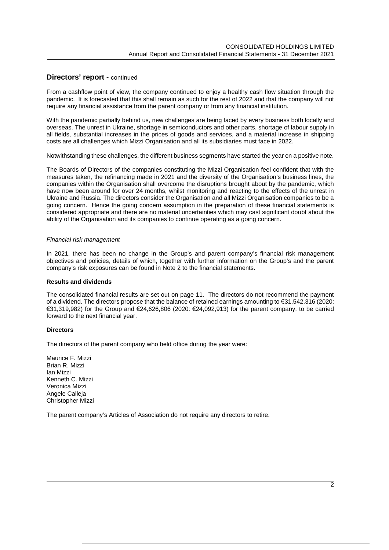# **Directors' report** - continued

From a cashflow point of view, the company continued to enjoy a healthy cash flow situation through the pandemic. It is forecasted that this shall remain as such for the rest of 2022 and that the company will not require any financial assistance from the parent company or from any financial institution.

With the pandemic partially behind us, new challenges are being faced by every business both locally and overseas. The unrest in Ukraine, shortage in semiconductors and other parts, shortage of labour supply in all fields, substantial increases in the prices of goods and services, and a material increase in shipping costs are all challenges which Mizzi Organisation and all its subsidiaries must face in 2022.

Notwithstanding these challenges, the different business segments have started the year on a positive note.

The Boards of Directors of the companies constituting the Mizzi Organisation feel confident that with the measures taken, the refinancing made in 2021 and the diversity of the Organisation's business lines, the companies within the Organisation shall overcome the disruptions brought about by the pandemic, which have now been around for over 24 months, whilst monitoring and reacting to the effects of the unrest in Ukraine and Russia. The directors consider the Organisation and all Mizzi Organisation companies to be a going concern. Hence the going concern assumption in the preparation of these financial statements is considered appropriate and there are no material uncertainties which may cast significant doubt about the ability of the Organisation and its companies to continue operating as a going concern.

# *Financial risk management*

In 2021, there has been no change in the Group's and parent company's financial risk management objectives and policies, details of which, together with further information on the Group's and the parent company's risk exposures can be found in Note 2 to the financial statements.

#### **Results and dividends**

The consolidated financial results are set out on page 11. The directors do not recommend the payment of a dividend. The directors propose that the balance of retained earnings amounting to €31,542,316 (2020: €31,319,982) for the Group and €24,626,806 (2020: €24,092,913) for the parent company, to be carried forward to the next financial year.

# **Directors**

The directors of the parent company who held office during the year were:

Maurice F. Mizzi Brian R. Mizzi Ian Mizzi Kenneth C. Mizzi Veronica Mizzi Angele Calleja Christopher Mizzi

The parent company's Articles of Association do not require any directors to retire.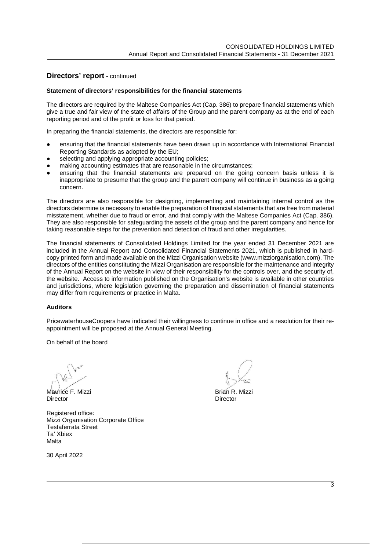# **Directors' report** - continued

# **Statement of directors' responsibilities for the financial statements**

The directors are required by the Maltese Companies Act (Cap. 386) to prepare financial statements which give a true and fair view of the state of affairs of the Group and the parent company as at the end of each reporting period and of the profit or loss for that period.

In preparing the financial statements, the directors are responsible for:

- ensuring that the financial statements have been drawn up in accordance with International Financial Reporting Standards as adopted by the EU;
- selecting and applying appropriate accounting policies;
- making accounting estimates that are reasonable in the circumstances;
- ensuring that the financial statements are prepared on the going concern basis unless it is inappropriate to presume that the group and the parent company will continue in business as a going concern.

The directors are also responsible for designing, implementing and maintaining internal control as the directors determine is necessary to enable the preparation of financial statements that are free from material misstatement, whether due to fraud or error, and that comply with the Maltese Companies Act (Cap. 386). They are also responsible for safeguarding the assets of the group and the parent company and hence for taking reasonable steps for the prevention and detection of fraud and other irregularities.

The financial statements of Consolidated Holdings Limited for the year ended 31 December 2021 are included in the Annual Report and Consolidated Financial Statements 2021, which is published in hardcopy printed form and made available on the Mizzi Organisation website (www.mizziorganisation.com). The directors of the entities constituting the Mizzi Organisation are responsible for the maintenance and integrity of the Annual Report on the website in view of their responsibility for the controls over, and the security of, the website. Access to information published on the Organisation's website is available in other countries and jurisdictions, where legislation governing the preparation and dissemination of financial statements may differ from requirements or practice in Malta.

# **Auditors**

PricewaterhouseCoopers have indicated their willingness to continue in office and a resolution for their reappointment will be proposed at the Annual General Meeting.

On behalf of the board

Maurice F. Mizzi Brian R. Mizzi Director Director

Registered office: Mizzi Organisation Corporate Office Testaferrata Street Ta' Xbiex Malta

30 April 2022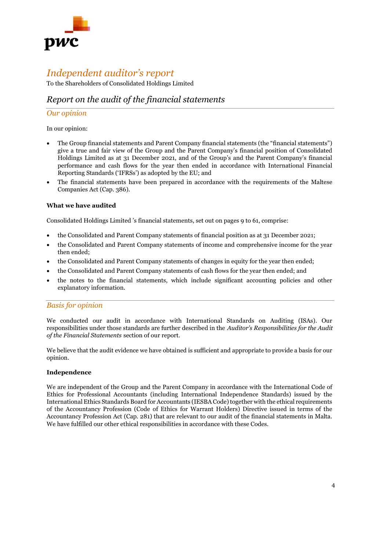

# *Independent auditor's report*

To the Shareholders of Consolidated Holdings Limited

# *Report on the audit of the financial statements*

# *Our opinion*

In our opinion:

- The Group financial statements and Parent Company financial statements (the "financial statements") give a true and fair view of the Group and the Parent Company's financial position of Consolidated Holdings Limited as at 31 December 2021, and of the Group's and the Parent Company's financial performance and cash flows for the year then ended in accordance with International Financial Reporting Standards ('IFRSs') as adopted by the EU; and
- The financial statements have been prepared in accordance with the requirements of the Maltese Companies Act (Cap. 386).

# **What we have audited**

Consolidated Holdings Limited 's financial statements, set out on pages 9 to 61, comprise:

- the Consolidated and Parent Company statements of financial position as at 31 December 2021;
- the Consolidated and Parent Company statements of income and comprehensive income for the year then ended;
- the Consolidated and Parent Company statements of changes in equity for the year then ended;
- the Consolidated and Parent Company statements of cash flows for the year then ended; and
- the notes to the financial statements, which include significant accounting policies and other explanatory information.

# *Basis for opinion*

We conducted our audit in accordance with International Standards on Auditing (ISAs). Our responsibilities under those standards are further described in the *Auditor's Responsibilities for the Audit of the Financial Statements* section of our report.

We believe that the audit evidence we have obtained is sufficient and appropriate to provide a basis for our opinion.

# **Independence**

We are independent of the Group and the Parent Company in accordance with the International Code of Ethics for Professional Accountants (including International Independence Standards) issued by the International Ethics Standards Board for Accountants (IESBA Code) together with the ethical requirements of the Accountancy Profession (Code of Ethics for Warrant Holders) Directive issued in terms of the Accountancy Profession Act (Cap. 281) that are relevant to our audit of the financial statements in Malta. We have fulfilled our other ethical responsibilities in accordance with these Codes.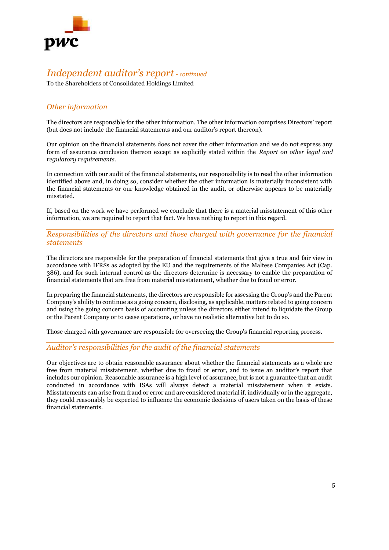

To the Shareholders of Consolidated Holdings Limited

# *Other information*

The directors are responsible for the other information. The other information comprises Directors' report (but does not include the financial statements and our auditor's report thereon).

Our opinion on the financial statements does not cover the other information and we do not express any form of assurance conclusion thereon except as explicitly stated within the *Report on other legal and regulatory requirements*.

In connection with our audit of the financial statements, our responsibility is to read the other information identified above and, in doing so, consider whether the other information is materially inconsistent with the financial statements or our knowledge obtained in the audit, or otherwise appears to be materially misstated.

If, based on the work we have performed we conclude that there is a material misstatement of this other information, we are required to report that fact. We have nothing to report in this regard.

*Responsibilities of the directors and those charged with governance for the financial statements*

The directors are responsible for the preparation of financial statements that give a true and fair view in accordance with IFRSs as adopted by the EU and the requirements of the Maltese Companies Act (Cap. 386), and for such internal control as the directors determine is necessary to enable the preparation of financial statements that are free from material misstatement, whether due to fraud or error.

In preparing the financial statements, the directors are responsible for assessing the Group's and the Parent Company's ability to continue as a going concern, disclosing, as applicable, matters related to going concern and using the going concern basis of accounting unless the directors either intend to liquidate the Group or the Parent Company or to cease operations, or have no realistic alternative but to do so.

Those charged with governance are responsible for overseeing the Group's financial reporting process.

# *Auditor's responsibilities for the audit of the financial statements*

Our objectives are to obtain reasonable assurance about whether the financial statements as a whole are free from material misstatement, whether due to fraud or error, and to issue an auditor's report that includes our opinion. Reasonable assurance is a high level of assurance, but is not a guarantee that an audit conducted in accordance with ISAs will always detect a material misstatement when it exists. Misstatements can arise from fraud or error and are considered material if, individually or in the aggregate, they could reasonably be expected to influence the economic decisions of users taken on the basis of these financial statements.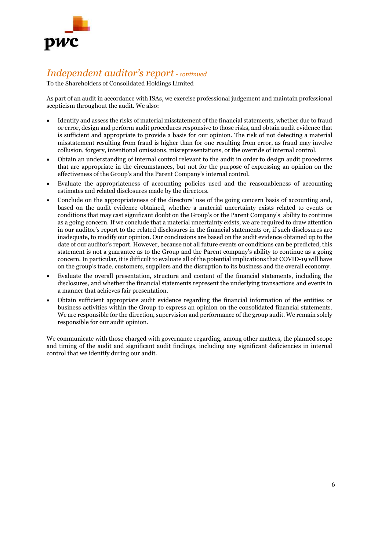

To the Shareholders of Consolidated Holdings Limited

As part of an audit in accordance with ISAs, we exercise professional judgement and maintain professional scepticism throughout the audit. We also:

- Identify and assess the risks of material misstatement of the financial statements, whether due to fraud or error, design and perform audit procedures responsive to those risks, and obtain audit evidence that is sufficient and appropriate to provide a basis for our opinion. The risk of not detecting a material misstatement resulting from fraud is higher than for one resulting from error, as fraud may involve collusion, forgery, intentional omissions, misrepresentations, or the override of internal control.
- Obtain an understanding of internal control relevant to the audit in order to design audit procedures that are appropriate in the circumstances, but not for the purpose of expressing an opinion on the effectiveness of the Group's and the Parent Company's internal control.
- Evaluate the appropriateness of accounting policies used and the reasonableness of accounting estimates and related disclosures made by the directors.
- Conclude on the appropriateness of the directors' use of the going concern basis of accounting and, based on the audit evidence obtained, whether a material uncertainty exists related to events or conditions that may cast significant doubt on the Group's or the Parent Company's ability to continue as a going concern. If we conclude that a material uncertainty exists, we are required to draw attention in our auditor's report to the related disclosures in the financial statements or, if such disclosures are inadequate, to modify our opinion. Our conclusions are based on the audit evidence obtained up to the date of our auditor's report. However, because not all future events or conditions can be predicted, this statement is not a guarantee as to the Group and the Parent company's ability to continue as a going concern. In particular, it is difficult to evaluate all of the potential implications that COVID-19 will have on the group's trade, customers, suppliers and the disruption to its business and the overall economy.
- Evaluate the overall presentation, structure and content of the financial statements, including the disclosures, and whether the financial statements represent the underlying transactions and events in a manner that achieves fair presentation.
- Obtain sufficient appropriate audit evidence regarding the financial information of the entities or business activities within the Group to express an opinion on the consolidated financial statements. We are responsible for the direction, supervision and performance of the group audit. We remain solely responsible for our audit opinion.

We communicate with those charged with governance regarding, among other matters, the planned scope and timing of the audit and significant audit findings, including any significant deficiencies in internal control that we identify during our audit.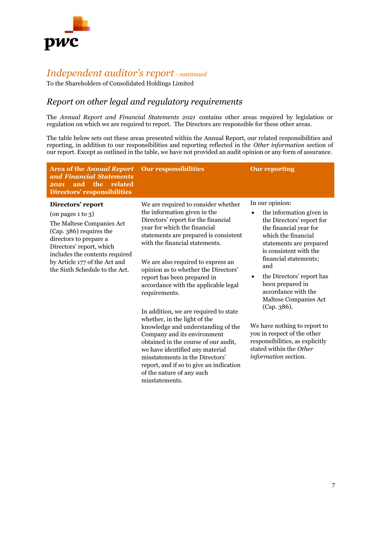

To the Shareholders of Consolidated Holdings Limited

# *Report on other legal and regulatory requirements*

The *Annual Report and Financial Statements 2021* contains other areas required by legislation or regulation on which we are required to report. The Directors are responsible for these other areas.

The table below sets out these areas presented within the Annual Report, our related responsibilities and reporting, in addition to our responsibilities and reporting reflected in the *Other information* section of our report. Except as outlined in the table, we have not provided an audit opinion or any form of assurance.

| <b>Area of the Annual Report</b><br>and Financial Statements<br>and the<br>related<br>2021<br>Directors' responsibilities                                                                                                                                    | <b>Our responsibilities</b>                                                                                                                                                                                                                                                                                                                                                                                                                                                                                                                                                                                                                                                                                                                       | <b>Our reporting</b>                                                                                                                                                                                                                                                                                                                                                                                                                                                                             |
|--------------------------------------------------------------------------------------------------------------------------------------------------------------------------------------------------------------------------------------------------------------|---------------------------------------------------------------------------------------------------------------------------------------------------------------------------------------------------------------------------------------------------------------------------------------------------------------------------------------------------------------------------------------------------------------------------------------------------------------------------------------------------------------------------------------------------------------------------------------------------------------------------------------------------------------------------------------------------------------------------------------------------|--------------------------------------------------------------------------------------------------------------------------------------------------------------------------------------------------------------------------------------------------------------------------------------------------------------------------------------------------------------------------------------------------------------------------------------------------------------------------------------------------|
| Directors' report<br>$($ on pages 1 to 3)<br>The Maltese Companies Act<br>(Cap. 386) requires the<br>directors to prepare a<br>Directors' report, which<br>includes the contents required<br>by Article 177 of the Act and<br>the Sixth Schedule to the Act. | We are required to consider whether<br>the information given in the<br>Directors' report for the financial<br>year for which the financial<br>statements are prepared is consistent<br>with the financial statements.<br>We are also required to express an<br>opinion as to whether the Directors'<br>report has been prepared in<br>accordance with the applicable legal<br>requirements.<br>In addition, we are required to state<br>whether, in the light of the<br>knowledge and understanding of the<br>Company and its environment<br>obtained in the course of our audit,<br>we have identified any material<br>misstatements in the Directors'<br>report, and if so to give an indication<br>of the nature of any such<br>misstatements. | In our opinion:<br>the information given in<br>the Directors' report for<br>the financial year for<br>which the financial<br>statements are prepared<br>is consistent with the<br>financial statements;<br>and<br>the Directors' report has<br>$\bullet$<br>been prepared in<br>accordance with the<br>Maltese Companies Act<br>(Cap. 386).<br>We have nothing to report to<br>you in respect of the other<br>responsibilities, as explicitly<br>stated within the Other<br>information section. |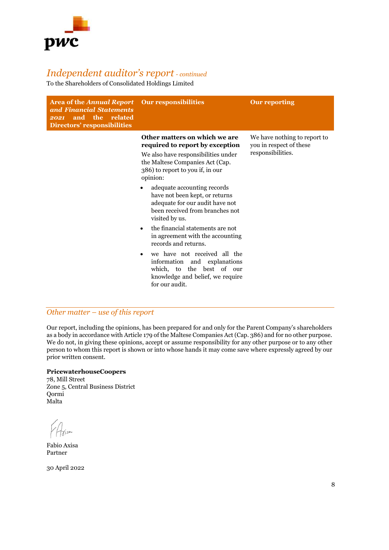

To the Shareholders of Consolidated Holdings Limited

| Area of the Annual Report Our responsibilities<br>and Financial Statements<br>and the related<br>2021<br><b>Directors' responsibilities</b> |                                                                                                                                                                                            | <b>Our reporting</b>                                                         |
|---------------------------------------------------------------------------------------------------------------------------------------------|--------------------------------------------------------------------------------------------------------------------------------------------------------------------------------------------|------------------------------------------------------------------------------|
|                                                                                                                                             | Other matters on which we are<br>required to report by exception<br>We also have responsibilities under<br>the Maltese Companies Act (Cap.<br>386) to report to you if, in our<br>opinion: | We have nothing to report to<br>you in respect of these<br>responsibilities. |
|                                                                                                                                             | adequate accounting records<br>have not been kept, or returns<br>adequate for our audit have not<br>been received from branches not<br>visited by us.                                      |                                                                              |
|                                                                                                                                             | the financial statements are not<br>$\bullet$<br>in agreement with the accounting<br>records and returns.                                                                                  |                                                                              |
|                                                                                                                                             | we have not received all the<br>information and explanations<br>which, to the best of our<br>knowledge and belief, we require<br>for our audit.                                            |                                                                              |

# *Other matter – use of this report*

Our report, including the opinions, has been prepared for and only for the Parent Company's shareholders as a body in accordance with Article 179 of the Maltese Companies Act (Cap. 386) and for no other purpose. We do not, in giving these opinions, accept or assume responsibility for any other purpose or to any other person to whom this report is shown or into whose hands it may come save where expressly agreed by our prior written consent.

# **PricewaterhouseCoopers**

78, Mill Street Zone 5, Central Business District Qormi Malta

 $\frac{1}{\gamma}$ isa

Fabio Axisa Partner

30 April 2022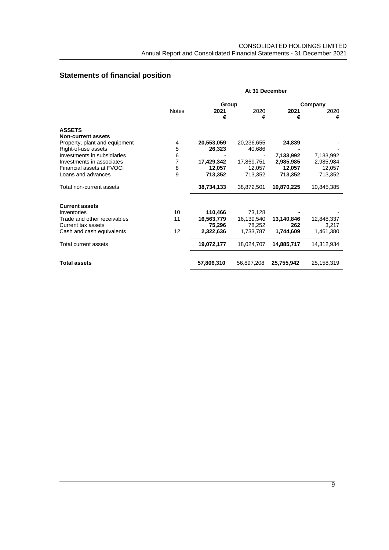# **Statements of financial position**

|                               |              | At 31 December |            |            |            |  |
|-------------------------------|--------------|----------------|------------|------------|------------|--|
|                               |              | Group          |            | Company    |            |  |
|                               | <b>Notes</b> | 2021           | 2020       | 2021       | 2020       |  |
|                               |              | €              | €          | €          | €          |  |
| <b>ASSETS</b>                 |              |                |            |            |            |  |
| Non-current assets            |              |                |            |            |            |  |
| Property, plant and equipment | 4            | 20,553,059     | 20,236,655 | 24,839     |            |  |
| Right-of-use assets           | 5            | 26,323         | 40,686     |            |            |  |
| Investments in subsidiaries   | 6            |                |            | 7,133,992  | 7,133,992  |  |
| Investments in associates     | 7            | 17,429,342     | 17,869,751 | 2,985,985  | 2,985,984  |  |
| Financial assets at FVOCI     | 8            | 12,057         | 12.057     | 12.057     | 12,057     |  |
| Loans and advances            | 9            | 713,352        | 713.352    | 713,352    | 713,352    |  |
| Total non-current assets      |              | 38,734,133     | 38,872,501 | 10,870,225 | 10,845,385 |  |
| <b>Current assets</b>         |              |                |            |            |            |  |
| Inventories                   | 10           | 110,466        | 73,128     |            |            |  |
| Trade and other receivables   | 11           | 16,563,779     | 16,139,540 | 13,140,846 | 12,848,337 |  |
| Current tax assets            |              | 75,296         | 78,252     | 262        | 3,217      |  |
| Cash and cash equivalents     | 12           | 2,322,636      | 1,733,787  | 1,744,609  | 1,461,380  |  |
| Total current assets          |              | 19,072,177     | 18,024,707 | 14,885,717 | 14,312,934 |  |
| <b>Total assets</b>           |              | 57,806,310     | 56,897,208 | 25,755,942 | 25,158,319 |  |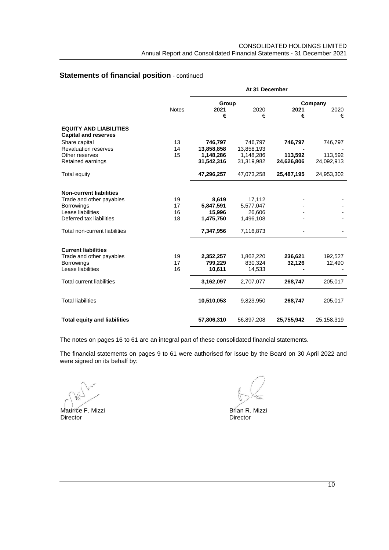# **Statements of financial position** - continued

|                                                              |              | At 31 December |            |            |            |  |
|--------------------------------------------------------------|--------------|----------------|------------|------------|------------|--|
|                                                              |              | Group          |            | Company    |            |  |
|                                                              | <b>Notes</b> | 2021           | 2020       | 2021       | 2020       |  |
|                                                              |              | €              | €          | €          | €          |  |
| <b>EQUITY AND LIABILITIES</b><br><b>Capital and reserves</b> |              |                |            |            |            |  |
| Share capital                                                | 13           | 746,797        | 746,797    | 746,797    | 746,797    |  |
| <b>Revaluation reserves</b>                                  | 14           | 13,858,858     | 13,858,193 |            |            |  |
| Other reserves                                               | 15           | 1,148,286      | 1,148,286  | 113,592    | 113,592    |  |
| Retained earnings                                            |              | 31,542,316     | 31,319,982 | 24,626,806 | 24,092,913 |  |
| <b>Total equity</b>                                          |              | 47,296,257     | 47,073,258 | 25,487,195 | 24,953,302 |  |
| <b>Non-current liabilities</b>                               |              |                |            |            |            |  |
| Trade and other payables                                     | 19           | 8,619          | 17,112     |            |            |  |
| <b>Borrowings</b>                                            | 17           | 5,847,591      | 5,577,047  |            |            |  |
| Lease liabilities                                            | 16           | 15,996         | 26,606     |            |            |  |
| Deferred tax liabilities                                     | 18           | 1,475,750      | 1,496,108  |            |            |  |
| Total non-current liabilities                                |              | 7,347,956      | 7,116,873  |            |            |  |
| <b>Current liabilities</b>                                   |              |                |            |            |            |  |
| Trade and other payables                                     | 19           | 2,352,257      | 1,862,220  | 236,621    | 192,527    |  |
| <b>Borrowings</b>                                            | 17           | 799,229        | 830,324    | 32,126     | 12,490     |  |
| Lease liabilities                                            | 16           | 10,611         | 14,533     |            |            |  |
| <b>Total current liabilities</b>                             |              | 3,162,097      | 2,707,077  | 268,747    | 205,017    |  |
| <b>Total liabilities</b>                                     |              | 10,510,053     | 9,823,950  | 268,747    | 205,017    |  |
| <b>Total equity and liabilities</b>                          |              | 57,806,310     | 56,897,208 | 25,755,942 | 25,158,319 |  |

The notes on pages 16 to 61 are an integral part of these consolidated financial statements.

The financial statements on pages 9 to 61 were authorised for issue by the Board on 30 April 2022 and were signed on its behalf by:

Maurice F. Mizzi Brian R. Mizzi Brian R. Mizzi Brian R. Mizzi Director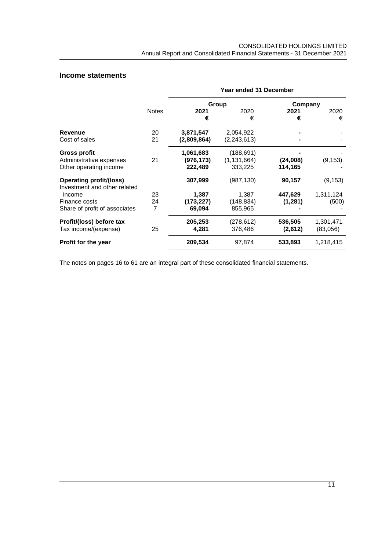# **Income statements**

|                                                                |                | Year ended 31 December |               |          |           |  |  |
|----------------------------------------------------------------|----------------|------------------------|---------------|----------|-----------|--|--|
|                                                                |                | Group                  |               |          | Company   |  |  |
|                                                                | <b>Notes</b>   | 2021                   | 2020          | 2021     | 2020      |  |  |
|                                                                |                | €                      | €             | €        | €         |  |  |
| <b>Revenue</b>                                                 | 20             | 3,871,547              | 2,054,922     |          |           |  |  |
| Cost of sales                                                  | 21             | (2,809,864)            | (2,243,613)   |          |           |  |  |
| <b>Gross profit</b>                                            |                | 1,061,683              | (188, 691)    |          |           |  |  |
| Administrative expenses                                        | 21             | (976,173)              | (1, 131, 664) | (24,008) | (9, 153)  |  |  |
| Other operating income                                         |                | 222,489                | 333,225       | 114,165  |           |  |  |
| <b>Operating profit/(loss)</b><br>Investment and other related |                | 307,999                | (987, 130)    | 90,157   | (9, 153)  |  |  |
| income                                                         | 23             | 1,387                  | 1,387         | 447,629  | 1,311,124 |  |  |
| Finance costs                                                  | 24             | (173,227)              | (148,834)     | (1,281)  | (500)     |  |  |
| Share of profit of associates                                  | $\overline{7}$ | 69,094                 | 855,965       |          |           |  |  |
| Profit/(loss) before tax                                       |                | 205,253                | (278,612)     | 536,505  | 1,301,471 |  |  |
| Tax income/(expense)                                           | 25             | 4,281                  | 376,486       | (2,612)  | (83,056)  |  |  |
| Profit for the year                                            |                | 209,534                | 97,874        | 533,893  | 1,218,415 |  |  |

The notes on pages 16 to 61 are an integral part of these consolidated financial statements.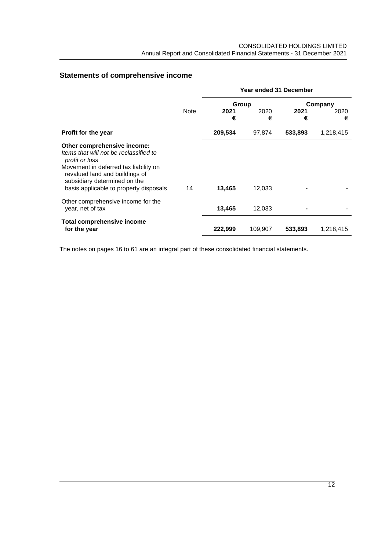# **Statements of comprehensive income**

|                                                                                                                                  |             |           | Year ended 31 December |           |           |  |
|----------------------------------------------------------------------------------------------------------------------------------|-------------|-----------|------------------------|-----------|-----------|--|
|                                                                                                                                  |             | Group     |                        |           | Company   |  |
|                                                                                                                                  | <b>Note</b> | 2021<br>€ | 2020<br>€              | 2021<br>€ | 2020<br>€ |  |
| <b>Profit for the year</b>                                                                                                       |             | 209,534   | 97,874                 | 533,893   | 1,218,415 |  |
| Other comprehensive income:<br>Items that will not be reclassified to<br>profit or loss<br>Movement in deferred tax liability on |             |           |                        |           |           |  |
| revalued land and buildings of<br>subsidiary determined on the<br>basis applicable to property disposals                         | 14          | 13,465    | 12,033                 |           |           |  |
| Other comprehensive income for the<br>year, net of tax                                                                           |             | 13,465    | 12,033                 |           |           |  |
| <b>Total comprehensive income</b><br>for the year                                                                                |             | 222,999   | 109.907                | 533,893   | 1,218,415 |  |

The notes on pages 16 to 61 are an integral part of these consolidated financial statements.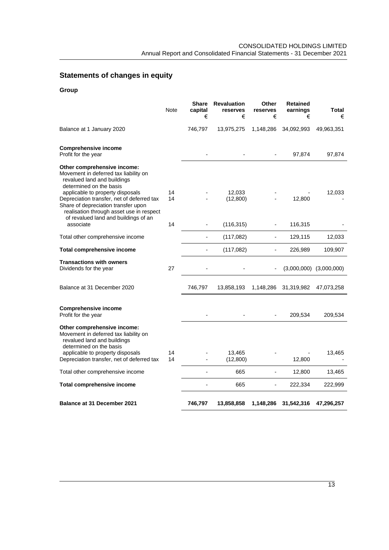# **Statements of changes in equity**

**Group**

|                                                                                                                                                                                                           | Note     | <b>Share</b><br>capital<br>€ | <b>Revaluation</b><br>reserves<br>€ | Other<br>reserves<br>€ | <b>Retained</b><br>earnings<br>€ | Total<br>€  |
|-----------------------------------------------------------------------------------------------------------------------------------------------------------------------------------------------------------|----------|------------------------------|-------------------------------------|------------------------|----------------------------------|-------------|
| Balance at 1 January 2020                                                                                                                                                                                 |          | 746,797                      | 13,975,275                          | 1,148,286              | 34,092,993                       | 49,963,351  |
| <b>Comprehensive income</b><br>Profit for the year                                                                                                                                                        |          |                              |                                     |                        | 97,874                           | 97,874      |
| Other comprehensive income:<br>Movement in deferred tax liability on<br>revalued land and buildings<br>determined on the basis                                                                            |          |                              |                                     |                        |                                  |             |
| applicable to property disposals<br>Depreciation transfer, net of deferred tax<br>Share of depreciation transfer upon<br>realisation through asset use in respect<br>of revalued land and buildings of an | 14<br>14 |                              | 12,033<br>(12,800)                  |                        | 12,800                           | 12,033      |
| associate                                                                                                                                                                                                 | 14       |                              | (116, 315)                          |                        | 116,315                          |             |
| Total other comprehensive income                                                                                                                                                                          |          |                              | (117,082)                           | $\overline{a}$         | 129,115                          | 12,033      |
| <b>Total comprehensive income</b>                                                                                                                                                                         |          |                              | (117,082)                           | $\overline{a}$         | 226,989                          | 109,907     |
| <b>Transactions with owners</b><br>Dividends for the year                                                                                                                                                 | 27       |                              |                                     |                        | (3,000,000)                      | (3,000,000) |
| Balance at 31 December 2020                                                                                                                                                                               |          | 746,797                      | 13,858,193                          | 1,148,286              | 31,319,982                       | 47,073,258  |
| <b>Comprehensive income</b><br>Profit for the year                                                                                                                                                        |          |                              |                                     |                        | 209,534                          | 209,534     |
| Other comprehensive income:<br>Movement in deferred tax liability on<br>revalued land and buildings<br>determined on the basis                                                                            |          |                              |                                     |                        |                                  |             |
| applicable to property disposals<br>Depreciation transfer, net of deferred tax                                                                                                                            | 14<br>14 |                              | 13,465<br>(12,800)                  |                        | 12,800                           | 13,465      |
| Total other comprehensive income                                                                                                                                                                          |          |                              | 665                                 |                        | 12,800                           | 13,465      |
| <b>Total comprehensive income</b>                                                                                                                                                                         |          |                              | 665                                 |                        | 222,334                          | 222,999     |
| <b>Balance at 31 December 2021</b>                                                                                                                                                                        |          | 746,797                      | 13,858,858                          | 1,148,286              | 31,542,316                       | 47,296,257  |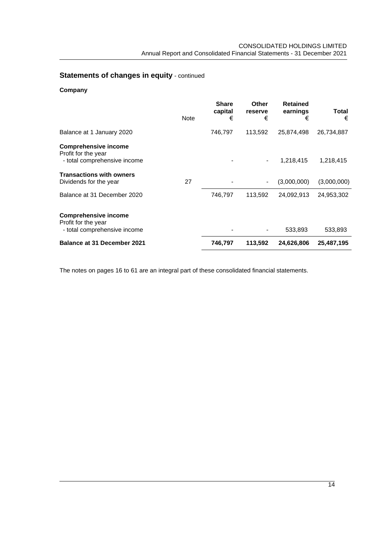# **Statements of changes in equity - continued**

# **Company**

|                                                                                    | <b>Note</b> | <b>Share</b><br>capital<br>€ | Other<br>reserve<br>€ | <b>Retained</b><br>earnings<br>€ | Total<br>€  |
|------------------------------------------------------------------------------------|-------------|------------------------------|-----------------------|----------------------------------|-------------|
| Balance at 1 January 2020                                                          |             | 746.797                      | 113,592               | 25.874.498                       | 26,734,887  |
| Comprehensive income<br>Profit for the year<br>- total comprehensive income        |             |                              | ٠                     | 1,218,415                        | 1,218,415   |
| <b>Transactions with owners</b><br>Dividends for the year                          | 27          |                              |                       | (3,000,000)                      | (3,000,000) |
| Balance at 31 December 2020                                                        |             | 746,797                      | 113.592               | 24,092,913                       | 24,953,302  |
| <b>Comprehensive income</b><br>Profit for the year<br>- total comprehensive income |             |                              |                       | 533,893                          | 533,893     |
| <b>Balance at 31 December 2021</b>                                                 |             | 746,797                      | 113,592               | 24,626,806                       | 25,487,195  |

The notes on pages 16 to 61 are an integral part of these consolidated financial statements.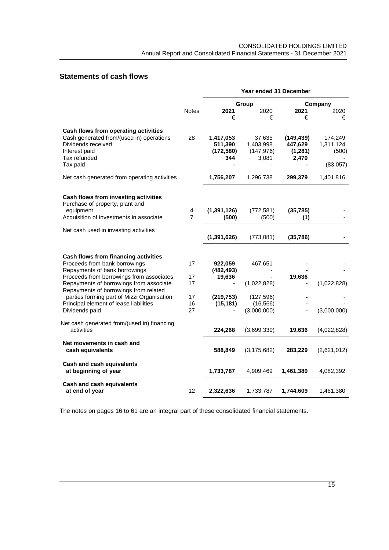# **Statements of cash flows**

|                                                                                  |                | Year ended 31 December |                     |            |             |
|----------------------------------------------------------------------------------|----------------|------------------------|---------------------|------------|-------------|
|                                                                                  |                | Group                  |                     |            | Company     |
|                                                                                  | <b>Notes</b>   | 2021                   | 2020                | 2021       | 2020        |
|                                                                                  |                | €                      | €                   | €          | €           |
| Cash flows from operating activities                                             |                |                        |                     |            |             |
| Cash generated from/(used in) operations                                         | 28             | 1,417,053              | 37,635              | (149, 439) | 174,249     |
| Dividends received                                                               |                | 511,390                | 1,403,998           | 447,629    | 1,311,124   |
| Interest paid                                                                    |                | (172, 580)             | (147, 976)          | (1, 281)   | (500)       |
| Tax refunded                                                                     |                | 344                    | 3,081               | 2,470      |             |
| Tax paid                                                                         |                |                        |                     |            | (83,057)    |
| Net cash generated from operating activities                                     |                | 1,756,207              | 1,296,738           | 299,379    | 1,401,816   |
| Cash flows from investing activities                                             |                |                        |                     |            |             |
| Purchase of property, plant and                                                  | 4              |                        |                     | (35, 785)  |             |
| equipment<br>Acquisition of investments in associate                             | $\overline{7}$ | (1, 391, 126)<br>(500) | (772, 581)<br>(500) | (1)        |             |
|                                                                                  |                |                        |                     |            |             |
| Net cash used in investing activities                                            |                |                        |                     |            |             |
|                                                                                  |                | (1, 391, 626)          | (773,081)           | (35, 786)  |             |
|                                                                                  |                |                        |                     |            |             |
| Cash flows from financing activities                                             |                |                        |                     |            |             |
| Proceeds from bank borrowings                                                    | 17             | 922,059                | 467,651             |            |             |
| Repayments of bank borrowings                                                    |                | (482, 493)             |                     |            |             |
| Proceeds from borrowings from associates                                         | 17             | 19,636                 |                     | 19,636     |             |
| Repayments of borrowings from associate<br>Repayments of borrowings from related | 17             |                        | (1,022,828)         |            | (1,022,828) |
| parties forming part of Mizzi Organisation                                       | 17             | (219, 753)             | (127, 596)          |            |             |
| Principal element of lease liabilities                                           | 16             | (15, 181)              | (16, 566)           |            |             |
| Dividends paid                                                                   | 27             |                        | (3,000,000)         |            | (3,000,000) |
| Net cash generated from/(used in) financing                                      |                |                        |                     |            |             |
| activities                                                                       |                | 224,268                | (3,699,339)         | 19,636     | (4,022,828) |
| Net movements in cash and                                                        |                |                        |                     |            |             |
| cash equivalents                                                                 |                | 588,849                | (3, 175, 682)       | 283,229    | (2,621,012) |
| <b>Cash and cash equivalents</b>                                                 |                |                        |                     |            |             |
| at beginning of year                                                             |                | 1,733,787              | 4,909,469           | 1,461,380  | 4,082,392   |
| <b>Cash and cash equivalents</b>                                                 |                |                        |                     |            |             |
| at end of year                                                                   | 12             | 2,322,636              | 1,733,787           | 1,744,609  | 1,461,380   |

The notes on pages 16 to 61 are an integral part of these consolidated financial statements.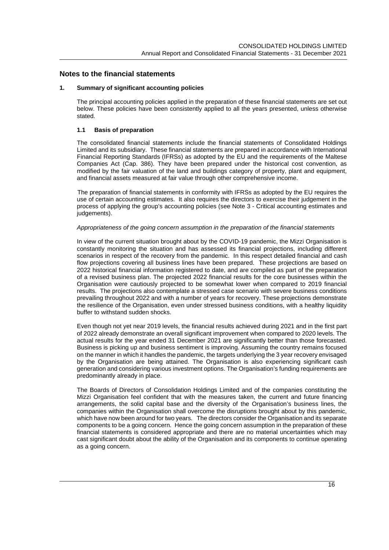# **Notes to the financial statements**

#### **1. Summary of significant accounting policies**

The principal accounting policies applied in the preparation of these financial statements are set out below. These policies have been consistently applied to all the years presented, unless otherwise stated.

# **1.1 Basis of preparation**

The consolidated financial statements include the financial statements of Consolidated Holdings Limited and its subsidiary. These financial statements are prepared in accordance with International Financial Reporting Standards (IFRSs) as adopted by the EU and the requirements of the Maltese Companies Act (Cap. 386). They have been prepared under the historical cost convention, as modified by the fair valuation of the land and buildings category of property, plant and equipment, and financial assets measured at fair value through other comprehensive income.

The preparation of financial statements in conformity with IFRSs as adopted by the EU requires the use of certain accounting estimates. It also requires the directors to exercise their judgement in the process of applying the group's accounting policies (see Note 3 - Critical accounting estimates and judgements).

# *Appropriateness of the going concern assumption in the preparation of the financial statements*

In view of the current situation brought about by the COVID-19 pandemic, the Mizzi Organisation is constantly monitoring the situation and has assessed its financial projections, including different scenarios in respect of the recovery from the pandemic. In this respect detailed financial and cash flow projections covering all business lines have been prepared. These projections are based on 2022 historical financial information registered to date, and are compiled as part of the preparation of a revised business plan. The projected 2022 financial results for the core businesses within the Organisation were cautiously projected to be somewhat lower when compared to 2019 financial results. The projections also contemplate a stressed case scenario with severe business conditions prevailing throughout 2022 and with a number of years for recovery. These projections demonstrate the resilience of the Organisation, even under stressed business conditions, with a healthy liquidity buffer to withstand sudden shocks.

Even though not yet near 2019 levels, the financial results achieved during 2021 and in the first part of 2022 already demonstrate an overall significant improvement when compared to 2020 levels. The actual results for the year ended 31 December 2021 are significantly better than those forecasted. Business is picking up and business sentiment is improving. Assuming the country remains focused on the manner in which it handles the pandemic, the targets underlying the 3 year recovery envisaged by the Organisation are being attained. The Organisation is also experiencing significant cash generation and considering various investment options. The Organisation's funding requirements are predominantly already in place.

The Boards of Directors of Consolidation Holdings Limited and of the companies constituting the Mizzi Organisation feel confident that with the measures taken, the current and future financing arrangements, the solid capital base and the diversity of the Organisation's business lines, the companies within the Organisation shall overcome the disruptions brought about by this pandemic, which have now been around for two years. The directors consider the Organisation and its separate components to be a going concern. Hence the going concern assumption in the preparation of these financial statements is considered appropriate and there are no material uncertainties which may cast significant doubt about the ability of the Organisation and its components to continue operating as a going concern.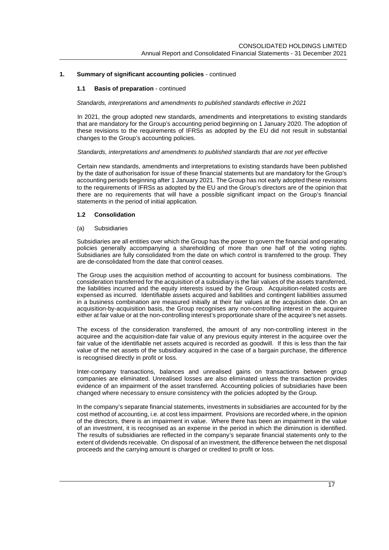#### **1.1 Basis of preparation** - continued

#### *Standards, interpretations and amendments to published standards effective in 2021*

In 2021, the group adopted new standards, amendments and interpretations to existing standards that are mandatory for the Group's accounting period beginning on 1 January 2020. The adoption of these revisions to the requirements of IFRSs as adopted by the EU did not result in substantial changes to the Group's accounting policies.

#### *Standards, interpretations and amendments to published standards that are not yet effective*

Certain new standards, amendments and interpretations to existing standards have been published by the date of authorisation for issue of these financial statements but are mandatory for the Group's accounting periods beginning after 1 January 2021. The Group has not early adopted these revisions to the requirements of IFRSs as adopted by the EU and the Group's directors are of the opinion that there are no requirements that will have a possible significant impact on the Group's financial statements in the period of initial application.

#### **1.2 Consolidation**

#### (a) Subsidiaries

Subsidiaries are all entities over which the Group has the power to govern the financial and operating policies generally accompanying a shareholding of more than one half of the voting rights. Subsidiaries are fully consolidated from the date on which control is transferred to the group. They are de-consolidated from the date that control ceases.

The Group uses the acquisition method of accounting to account for business combinations. The consideration transferred for the acquisition of a subsidiary is the fair values of the assets transferred, the liabilities incurred and the equity interests issued by the Group. Acquisition-related costs are expensed as incurred. Identifiable assets acquired and liabilities and contingent liabilities assumed in a business combination are measured initially at their fair values at the acquisition date. On an acquisition-by-acquisition basis, the Group recognises any non-controlling interest in the acquiree either at fair value or at the non-controlling interest's proportionate share of the acquiree's net assets.

The excess of the consideration transferred, the amount of any non-controlling interest in the acquiree and the acquisition-date fair value of any previous equity interest in the acquiree over the fair value of the identifiable net assets acquired is recorded as goodwill. If this is less than the fair value of the net assets of the subsidiary acquired in the case of a bargain purchase, the difference is recognised directly in profit or loss.

Inter-company transactions, balances and unrealised gains on transactions between group companies are eliminated. Unrealised losses are also eliminated unless the transaction provides evidence of an impairment of the asset transferred. Accounting policies of subsidiaries have been changed where necessary to ensure consistency with the policies adopted by the Group.

In the company's separate financial statements, investments in subsidiaries are accounted for by the cost method of accounting, i.e. at cost less impairment. Provisions are recorded where, in the opinion of the directors, there is an impairment in value. Where there has been an impairment in the value of an investment, it is recognised as an expense in the period in which the diminution is identified. The results of subsidiaries are reflected in the company's separate financial statements only to the extent of dividends receivable. On disposal of an investment, the difference between the net disposal proceeds and the carrying amount is charged or credited to profit or loss.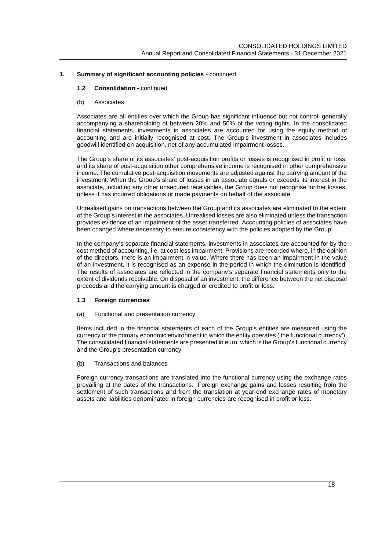# **1.2 Consolidation** - continued

(b) Associates

Associates are all entities over which the Group has significant influence but not control, generally accompanying a shareholding of between 20% and 50% of the voting rights. In the consolidated financial statements, investments in associates are accounted for using the equity method of accounting and are initially recognised at cost. The Group's investment in associates includes goodwill identified on acquisition, net of any accumulated impairment losses.

The Group's share of its associates' post-acquisition profits or losses is recognised in profit or loss, and its share of post-acquisition other comprehensive income is recognised in other comprehensive income. The cumulative post-acquisition movements are adjusted against the carrying amount of the investment. When the Group's share of losses in an associate equals or exceeds its interest in the associate, including any other unsecured receivables, the Group does not recognise further losses, unless it has incurred obligations or made payments on behalf of the associate.

Unrealised gains on transactions between the Group and its associates are eliminated to the extent of the Group's interest in the associates. Unrealised losses are also eliminated unless the transaction provides evidence of an impairment of the asset transferred. Accounting policies of associates have been changed where necessary to ensure consistency with the policies adopted by the Group.

In the company's separate financial statements, investments in associates are accounted for by the cost method of accounting, i.e. at cost less impairment. Provisions are recorded where, in the opinion of the directors, there is an impairment in value. Where there has been an impairment in the value of an investment, it is recognised as an expense in the period in which the diminution is identified. The results of associates are reflected in the company's separate financial statements only to the extent of dividends receivable. On disposal of an investment, the difference between the net disposal proceeds and the carrying amount is charged or credited to profit or loss.

# **1.3 Foreign currencies**

(a) Functional and presentation currency

Items included in the financial statements of each of the Group's entities are measured using the currency of the primary economic environment in which the entity operates ('the functional currency'). The consolidated financial statements are presented in euro, which is the Group's functional currency and the Group's presentation currency.

# (b) Transactions and balances

Foreign currency transactions are translated into the functional currency using the exchange rates prevailing at the dates of the transactions. Foreign exchange gains and losses resulting from the settlement of such transactions and from the translation at year-end exchange rates of monetary assets and liabilities denominated in foreign currencies are recognised in profit or loss.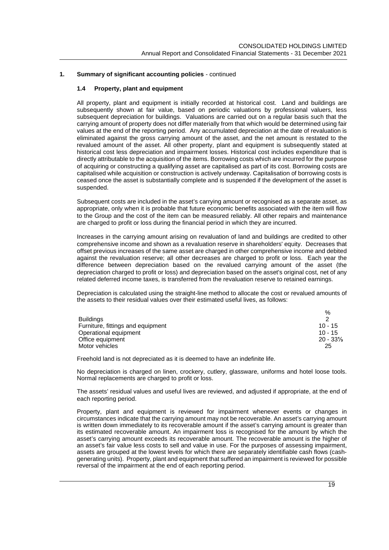# **1.4 Property, plant and equipment**

All property, plant and equipment is initially recorded at historical cost. Land and buildings are subsequently shown at fair value, based on periodic valuations by professional valuers, less subsequent depreciation for buildings. Valuations are carried out on a regular basis such that the carrying amount of property does not differ materially from that which would be determined using fair values at the end of the reporting period. Any accumulated depreciation at the date of revaluation is eliminated against the gross carrying amount of the asset, and the net amount is restated to the revalued amount of the asset. All other property, plant and equipment is subsequently stated at historical cost less depreciation and impairment losses. Historical cost includes expenditure that is directly attributable to the acquisition of the items. Borrowing costs which are incurred for the purpose of acquiring or constructing a qualifying asset are capitalised as part of its cost. Borrowing costs are capitalised while acquisition or construction is actively underway. Capitalisation of borrowing costs is ceased once the asset is substantially complete and is suspended if the development of the asset is suspended.

Subsequent costs are included in the asset's carrying amount or recognised as a separate asset, as appropriate, only when it is probable that future economic benefits associated with the item will flow to the Group and the cost of the item can be measured reliably. All other repairs and maintenance are charged to profit or loss during the financial period in which they are incurred.

Increases in the carrying amount arising on revaluation of land and buildings are credited to other comprehensive income and shown as a revaluation reserve in shareholders' equity. Decreases that offset previous increases of the same asset are charged in other comprehensive income and debited against the revaluation reserve; all other decreases are charged to profit or loss. Each year the difference between depreciation based on the revalued carrying amount of the asset (the depreciation charged to profit or loss) and depreciation based on the asset's original cost, net of any related deferred income taxes, is transferred from the revaluation reserve to retained earnings.

Depreciation is calculated using the straight-line method to allocate the cost or revalued amounts of the assets to their residual values over their estimated useful lives, as follows:

|                                   | $\%$                 |
|-----------------------------------|----------------------|
| <b>Buildings</b>                  |                      |
| Furniture, fittings and equipment | $10 - 15$            |
| Operational equipment             | $10 - 15$            |
| Office equipment                  | $20 - 33\frac{1}{3}$ |
| Motor vehicles                    | 25                   |

Freehold land is not depreciated as it is deemed to have an indefinite life.

No depreciation is charged on linen, crockery, cutlery, glassware, uniforms and hotel loose tools. Normal replacements are charged to profit or loss.

The assets' residual values and useful lives are reviewed, and adjusted if appropriate, at the end of each reporting period.

Property, plant and equipment is reviewed for impairment whenever events or changes in circumstances indicate that the carrying amount may not be recoverable. An asset's carrying amount is written down immediately to its recoverable amount if the asset's carrying amount is greater than its estimated recoverable amount. An impairment loss is recognised for the amount by which the asset's carrying amount exceeds its recoverable amount. The recoverable amount is the higher of an asset's fair value less costs to sell and value in use. For the purposes of assessing impairment, assets are grouped at the lowest levels for which there are separately identifiable cash flows (cashgenerating units). Property, plant and equipment that suffered an impairment is reviewed for possible reversal of the impairment at the end of each reporting period.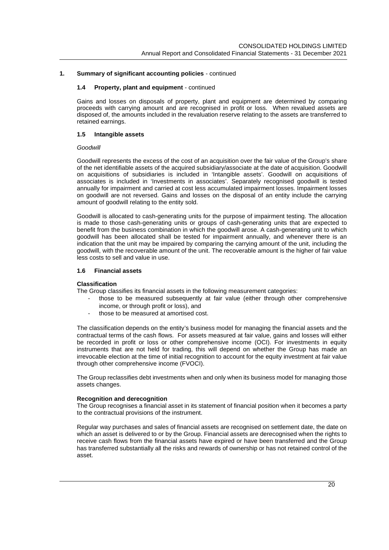#### **1.4 Property, plant and equipment** - continued

Gains and losses on disposals of property, plant and equipment are determined by comparing proceeds with carrying amount and are recognised in profit or loss. When revalued assets are disposed of, the amounts included in the revaluation reserve relating to the assets are transferred to retained earnings.

# **1.5 Intangible assets**

#### *Goodwill*

Goodwill represents the excess of the cost of an acquisition over the fair value of the Group's share of the net identifiable assets of the acquired subsidiary/associate at the date of acquisition. Goodwill on acquisitions of subsidiaries is included in 'Intangible assets'. Goodwill on acquisitions of associates is included in 'Investments in associates'. Separately recognised goodwill is tested annually for impairment and carried at cost less accumulated impairment losses. Impairment losses on goodwill are not reversed. Gains and losses on the disposal of an entity include the carrying amount of goodwill relating to the entity sold.

Goodwill is allocated to cash-generating units for the purpose of impairment testing. The allocation is made to those cash-generating units or groups of cash-generating units that are expected to benefit from the business combination in which the goodwill arose. A cash-generating unit to which goodwill has been allocated shall be tested for impairment annually, and whenever there is an indication that the unit may be impaired by comparing the carrying amount of the unit, including the goodwill, with the recoverable amount of the unit. The recoverable amount is the higher of fair value less costs to sell and value in use.

# **1.6 Financial assets**

#### **Classification**

The Group classifies its financial assets in the following measurement categories:

- those to be measured subsequently at fair value (either through other comprehensive income, or through profit or loss), and
- those to be measured at amortised cost.

The classification depends on the entity's business model for managing the financial assets and the contractual terms of the cash flows. For assets measured at fair value, gains and losses will either be recorded in profit or loss or other comprehensive income (OCI). For investments in equity instruments that are not held for trading, this will depend on whether the Group has made an irrevocable election at the time of initial recognition to account for the equity investment at fair value through other comprehensive income (FVOCI).

The Group reclassifies debt investments when and only when its business model for managing those assets changes.

#### **Recognition and derecognition**

The Group recognises a financial asset in its statement of financial position when it becomes a party to the contractual provisions of the instrument.

Regular way purchases and sales of financial assets are recognised on settlement date, the date on which an asset is delivered to or by the Group. Financial assets are derecognised when the rights to receive cash flows from the financial assets have expired or have been transferred and the Group has transferred substantially all the risks and rewards of ownership or has not retained control of the asset.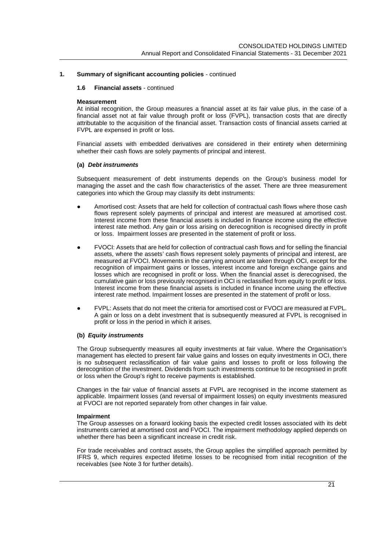#### **1.6 Financial assets** - continued

#### **Measurement**

At initial recognition, the Group measures a financial asset at its fair value plus, in the case of a financial asset not at fair value through profit or loss (FVPL), transaction costs that are directly attributable to the acquisition of the financial asset. Transaction costs of financial assets carried at FVPL are expensed in profit or loss.

Financial assets with embedded derivatives are considered in their entirety when determining whether their cash flows are solely payments of principal and interest.

# **(a)** *Debt instruments*

Subsequent measurement of debt instruments depends on the Group's business model for managing the asset and the cash flow characteristics of the asset. There are three measurement categories into which the Group may classify its debt instruments:

- Amortised cost: Assets that are held for collection of contractual cash flows where those cash flows represent solely payments of principal and interest are measured at amortised cost. Interest income from these financial assets is included in finance income using the effective interest rate method. Any gain or loss arising on derecognition is recognised directly in profit or loss. Impairment losses are presented in the statement of profit or loss.
- FVOCI: Assets that are held for collection of contractual cash flows and for selling the financial assets, where the assets' cash flows represent solely payments of principal and interest, are measured at FVOCI. Movements in the carrying amount are taken through OCI, except for the recognition of impairment gains or losses, interest income and foreign exchange gains and losses which are recognised in profit or loss. When the financial asset is derecognised, the cumulative gain or loss previously recognised in OCI is reclassified from equity to profit or loss. Interest income from these financial assets is included in finance income using the effective interest rate method. Impairment losses are presented in the statement of profit or loss.
- FVPL: Assets that do not meet the criteria for amortised cost or FVOCI are measured at FVPL. A gain or loss on a debt investment that is subsequently measured at FVPL is recognised in profit or loss in the period in which it arises.

#### **(b)** *Equity instruments*

The Group subsequently measures all equity investments at fair value. Where the Organisation's management has elected to present fair value gains and losses on equity investments in OCI, there is no subsequent reclassification of fair value gains and losses to profit or loss following the derecognition of the investment. Dividends from such investments continue to be recognised in profit or loss when the Group's right to receive payments is established.

Changes in the fair value of financial assets at FVPL are recognised in the income statement as applicable. Impairment losses (and reversal of impairment losses) on equity investments measured at FVOCI are not reported separately from other changes in fair value.

#### **Impairment**

The Group assesses on a forward looking basis the expected credit losses associated with its debt instruments carried at amortised cost and FVOCI. The impairment methodology applied depends on whether there has been a significant increase in credit risk.

For trade receivables and contract assets, the Group applies the simplified approach permitted by IFRS 9, which requires expected lifetime losses to be recognised from initial recognition of the receivables (see Note 3 for further details).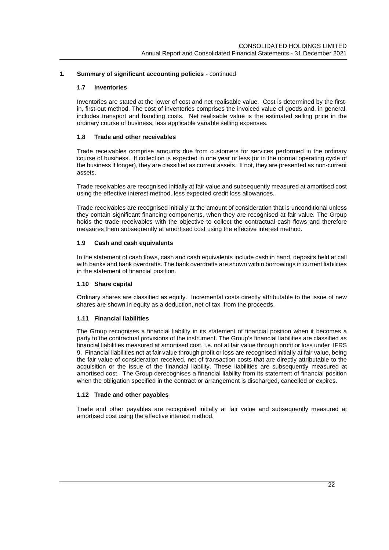#### **1.7 Inventories**

Inventories are stated at the lower of cost and net realisable value. Cost is determined by the firstin, first-out method. The cost of inventories comprises the invoiced value of goods and, in general, includes transport and handling costs. Net realisable value is the estimated selling price in the ordinary course of business, less applicable variable selling expenses.

#### **1.8 Trade and other receivables**

Trade receivables comprise amounts due from customers for services performed in the ordinary course of business. If collection is expected in one year or less (or in the normal operating cycle of the business if longer), they are classified as current assets. If not, they are presented as non-current assets.

Trade receivables are recognised initially at fair value and subsequently measured at amortised cost using the effective interest method, less expected credit loss allowances.

Trade receivables are recognised initially at the amount of consideration that is unconditional unless they contain significant financing components, when they are recognised at fair value. The Group holds the trade receivables with the objective to collect the contractual cash flows and therefore measures them subsequently at amortised cost using the effective interest method.

# **1.9 Cash and cash equivalents**

In the statement of cash flows, cash and cash equivalents include cash in hand, deposits held at call with banks and bank overdrafts. The bank overdrafts are shown within borrowings in current liabilities in the statement of financial position.

#### **1.10 Share capital**

Ordinary shares are classified as equity. Incremental costs directly attributable to the issue of new shares are shown in equity as a deduction, net of tax, from the proceeds.

#### **1.11 Financial liabilities**

The Group recognises a financial liability in its statement of financial position when it becomes a party to the contractual provisions of the instrument. The Group's financial liabilities are classified as financial liabilities measured at amortised cost, i.e. not at fair value through profit or loss under IFRS 9. Financial liabilities not at fair value through profit or loss are recognised initially at fair value, being the fair value of consideration received, net of transaction costs that are directly attributable to the acquisition or the issue of the financial liability. These liabilities are subsequently measured at amortised cost. The Group derecognises a financial liability from its statement of financial position when the obligation specified in the contract or arrangement is discharged, cancelled or expires.

#### **1.12 Trade and other payables**

Trade and other payables are recognised initially at fair value and subsequently measured at amortised cost using the effective interest method.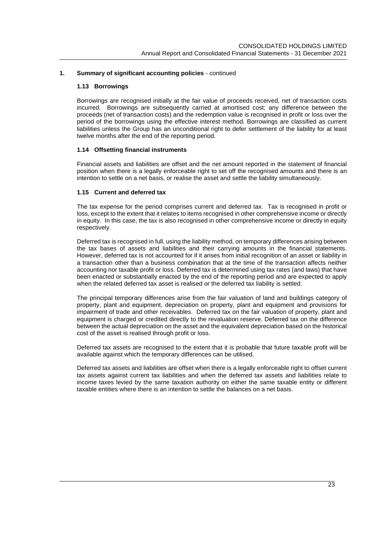# **1.13 Borrowings**

Borrowings are recognised initially at the fair value of proceeds received, net of transaction costs incurred. Borrowings are subsequently carried at amortised cost; any difference between the proceeds (net of transaction costs) and the redemption value is recognised in profit or loss over the period of the borrowings using the effective interest method. Borrowings are classified as current liabilities unless the Group has an unconditional right to defer settlement of the liability for at least twelve months after the end of the reporting period.

# **1.14 Offsetting financial instruments**

Financial assets and liabilities are offset and the net amount reported in the statement of financial position when there is a legally enforceable right to set off the recognised amounts and there is an intention to settle on a net basis, or realise the asset and settle the liability simultaneously.

#### **1.15 Current and deferred tax**

The tax expense for the period comprises current and deferred tax. Tax is recognised in profit or loss, except to the extent that it relates to items recognised in other comprehensive income or directly in equity. In this case, the tax is also recognised in other comprehensive income or directly in equity respectively.

Deferred tax is recognised in full, using the liability method, on temporary differences arising between the tax bases of assets and liabilities and their carrying amounts in the financial statements. However, deferred tax is not accounted for if it arises from initial recognition of an asset or liability in a transaction other than a business combination that at the time of the transaction affects neither accounting nor taxable profit or loss. Deferred tax is determined using tax rates (and laws) that have been enacted or substantially enacted by the end of the reporting period and are expected to apply when the related deferred tax asset is realised or the deferred tax liability is settled.

The principal temporary differences arise from the fair valuation of land and buildings category of property, plant and equipment, depreciation on property, plant and equipment and provisions for impairment of trade and other receivables. Deferred tax on the fair valuation of property, plant and equipment is charged or credited directly to the revaluation reserve. Deferred tax on the difference between the actual depreciation on the asset and the equivalent depreciation based on the historical cost of the asset is realised through profit or loss.

Deferred tax assets are recognised to the extent that it is probable that future taxable profit will be available against which the temporary differences can be utilised.

Deferred tax assets and liabilities are offset when there is a legally enforceable right to offset current tax assets against current tax liabilities and when the deferred tax assets and liabilities relate to income taxes levied by the same taxation authority on either the same taxable entity or different taxable entities where there is an intention to settle the balances on a net basis.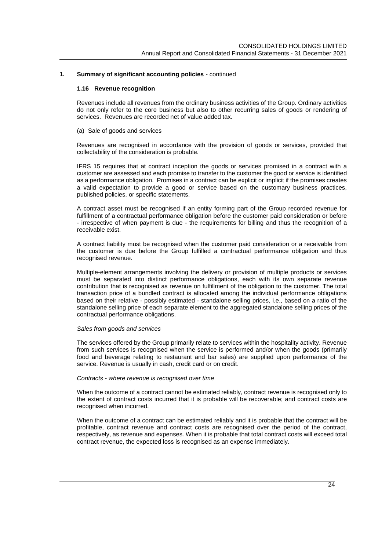#### **1.16 Revenue recognition**

Revenues include all revenues from the ordinary business activities of the Group. Ordinary activities do not only refer to the core business but also to other recurring sales of goods or rendering of services. Revenues are recorded net of value added tax.

(a) Sale of goods and services

Revenues are recognised in accordance with the provision of goods or services, provided that collectability of the consideration is probable.

IFRS 15 requires that at contract inception the goods or services promised in a contract with a customer are assessed and each promise to transfer to the customer the good or service is identified as a performance obligation. Promises in a contract can be explicit or implicit if the promises creates a valid expectation to provide a good or service based on the customary business practices, published policies, or specific statements.

A contract asset must be recognised if an entity forming part of the Group recorded revenue for fulfillment of a contractual performance obligation before the customer paid consideration or before - irrespective of when payment is due - the requirements for billing and thus the recognition of a receivable exist.

A contract liability must be recognised when the customer paid consideration or a receivable from the customer is due before the Group fulfilled a contractual performance obligation and thus recognised revenue.

Multiple-element arrangements involving the delivery or provision of multiple products or services must be separated into distinct performance obligations, each with its own separate revenue contribution that is recognised as revenue on fulfillment of the obligation to the customer. The total transaction price of a bundled contract is allocated among the individual performance obligations based on their relative - possibly estimated - standalone selling prices, i.e., based on a ratio of the standalone selling price of each separate element to the aggregated standalone selling prices of the contractual performance obligations.

#### *Sales from goods and services*

The services offered by the Group primarily relate to services within the hospitality activity. Revenue from such services is recognised when the service is performed and/or when the goods (primarily food and beverage relating to restaurant and bar sales) are supplied upon performance of the service. Revenue is usually in cash, credit card or on credit.

#### *Contracts - where revenue is recognised over time*

When the outcome of a contract cannot be estimated reliably, contract revenue is recognised only to the extent of contract costs incurred that it is probable will be recoverable; and contract costs are recognised when incurred.

When the outcome of a contract can be estimated reliably and it is probable that the contract will be profitable, contract revenue and contract costs are recognised over the period of the contract, respectively, as revenue and expenses. When it is probable that total contract costs will exceed total contract revenue, the expected loss is recognised as an expense immediately.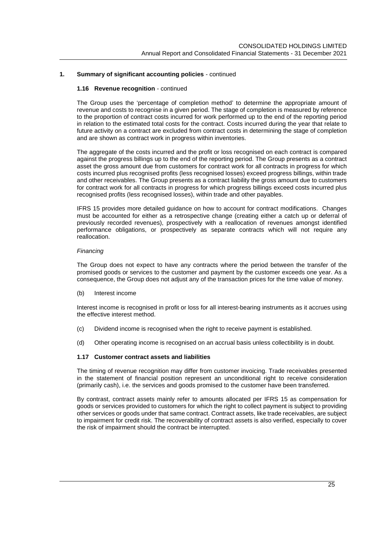#### **1.16 Revenue recognition** - continued

The Group uses the 'percentage of completion method' to determine the appropriate amount of revenue and costs to recognise in a given period. The stage of completion is measured by reference to the proportion of contract costs incurred for work performed up to the end of the reporting period in relation to the estimated total costs for the contract. Costs incurred during the year that relate to future activity on a contract are excluded from contract costs in determining the stage of completion and are shown as contract work in progress within inventories.

The aggregate of the costs incurred and the profit or loss recognised on each contract is compared against the progress billings up to the end of the reporting period. The Group presents as a contract asset the gross amount due from customers for contract work for all contracts in progress for which costs incurred plus recognised profits (less recognised losses) exceed progress billings, within trade and other receivables. The Group presents as a contract liability the gross amount due to customers for contract work for all contracts in progress for which progress billings exceed costs incurred plus recognised profits (less recognised losses), within trade and other payables.

IFRS 15 provides more detailed guidance on how to account for contract modifications. Changes must be accounted for either as a retrospective change (creating either a catch up or deferral of previously recorded revenues), prospectively with a reallocation of revenues amongst identified performance obligations, or prospectively as separate contracts which will not require any reallocation.

#### *Financing*

The Group does not expect to have any contracts where the period between the transfer of the promised goods or services to the customer and payment by the customer exceeds one year. As a consequence, the Group does not adjust any of the transaction prices for the time value of money.

(b) Interest income

Interest income is recognised in profit or loss for all interest-bearing instruments as it accrues using the effective interest method.

- (c) Dividend income is recognised when the right to receive payment is established.
- (d) Other operating income is recognised on an accrual basis unless collectibility is in doubt.

#### **1.17 Customer contract assets and liabilities**

The timing of revenue recognition may differ from customer invoicing. Trade receivables presented in the statement of financial position represent an unconditional right to receive consideration (primarily cash), i.e. the services and goods promised to the customer have been transferred.

By contrast, contract assets mainly refer to amounts allocated per IFRS 15 as compensation for goods or services provided to customers for which the right to collect payment is subject to providing other services or goods under that same contract. Contract assets, like trade receivables, are subject to impairment for credit risk. The recoverability of contract assets is also verified, especially to cover the risk of impairment should the contract be interrupted.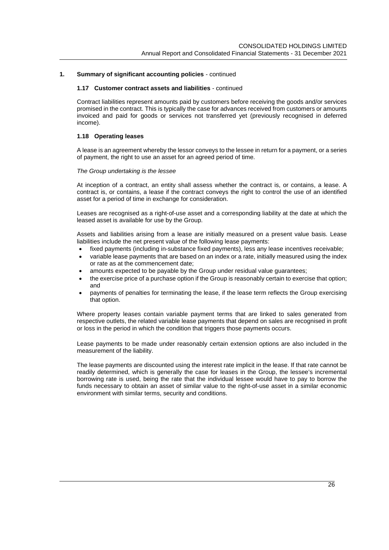#### **1.17 Customer contract assets and liabilities** - continued

Contract liabilities represent amounts paid by customers before receiving the goods and/or services promised in the contract. This is typically the case for advances received from customers or amounts invoiced and paid for goods or services not transferred yet (previously recognised in deferred income).

# **1.18 Operating leases**

A lease is an agreement whereby the lessor conveys to the lessee in return for a payment, or a series of payment, the right to use an asset for an agreed period of time.

#### *The Group undertaking is the lessee*

At inception of a contract, an entity shall assess whether the contract is, or contains, a lease. A contract is, or contains, a lease if the contract conveys the right to control the use of an identified asset for a period of time in exchange for consideration.

Leases are recognised as a right-of-use asset and a corresponding liability at the date at which the leased asset is available for use by the Group.

Assets and liabilities arising from a lease are initially measured on a present value basis. Lease liabilities include the net present value of the following lease payments:

- fixed payments (including in-substance fixed payments), less any lease incentives receivable;
- variable lease payments that are based on an index or a rate, initially measured using the index or rate as at the commencement date;
- amounts expected to be payable by the Group under residual value guarantees;
- the exercise price of a purchase option if the Group is reasonably certain to exercise that option; and
- payments of penalties for terminating the lease, if the lease term reflects the Group exercising that option.

Where property leases contain variable payment terms that are linked to sales generated from respective outlets, the related variable lease payments that depend on sales are recognised in profit or loss in the period in which the condition that triggers those payments occurs.

Lease payments to be made under reasonably certain extension options are also included in the measurement of the liability.

The lease payments are discounted using the interest rate implicit in the lease. If that rate cannot be readily determined, which is generally the case for leases in the Group, the lessee's incremental borrowing rate is used, being the rate that the individual lessee would have to pay to borrow the funds necessary to obtain an asset of similar value to the right-of-use asset in a similar economic environment with similar terms, security and conditions.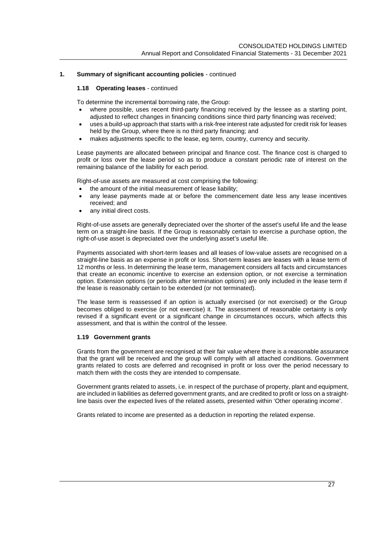#### **1.18 Operating leases** - continued

To determine the incremental borrowing rate, the Group:

- where possible, uses recent third-party financing received by the lessee as a starting point, adjusted to reflect changes in financing conditions since third party financing was received;
- uses a build-up approach that starts with a risk-free interest rate adjusted for credit risk for leases held by the Group, where there is no third party financing; and
- makes adjustments specific to the lease, eg term, country, currency and security.

Lease payments are allocated between principal and finance cost. The finance cost is charged to profit or loss over the lease period so as to produce a constant periodic rate of interest on the remaining balance of the liability for each period.

Right-of-use assets are measured at cost comprising the following:

- the amount of the initial measurement of lease liability;
- any lease payments made at or before the commencement date less any lease incentives received; and
- any initial direct costs.

Right-of-use assets are generally depreciated over the shorter of the asset's useful life and the lease term on a straight-line basis. If the Group is reasonably certain to exercise a purchase option, the right-of-use asset is depreciated over the underlying asset's useful life.

Payments associated with short-term leases and all leases of low-value assets are recognised on a straight-line basis as an expense in profit or loss. Short-term leases are leases with a lease term of 12 months or less. In determining the lease term, management considers all facts and circumstances that create an economic incentive to exercise an extension option, or not exercise a termination option. Extension options (or periods after termination options) are only included in the lease term if the lease is reasonably certain to be extended (or not terminated).

The lease term is reassessed if an option is actually exercised (or not exercised) or the Group becomes obliged to exercise (or not exercise) it. The assessment of reasonable certainty is only revised if a significant event or a significant change in circumstances occurs, which affects this assessment, and that is within the control of the lessee.

# **1.19 Government grants**

Grants from the government are recognised at their fair value where there is a reasonable assurance that the grant will be received and the group will comply with all attached conditions. Government grants related to costs are deferred and recognised in profit or loss over the period necessary to match them with the costs they are intended to compensate.

Government grants related to assets, i.e. in respect of the purchase of property, plant and equipment, are included in liabilities as deferred government grants, and are credited to profit or loss on a straightline basis over the expected lives of the related assets, presented within 'Other operating income'.

Grants related to income are presented as a deduction in reporting the related expense.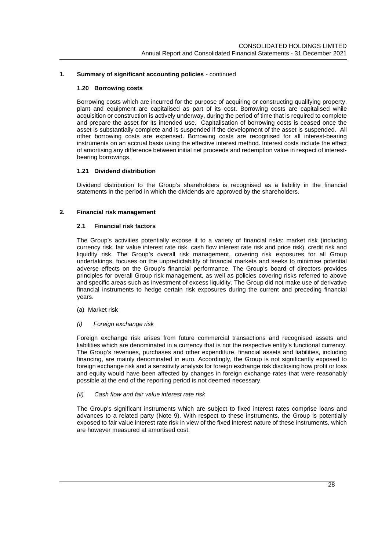# **1.20 Borrowing costs**

Borrowing costs which are incurred for the purpose of acquiring or constructing qualifying property, plant and equipment are capitalised as part of its cost. Borrowing costs are capitalised while acquisition or construction is actively underway, during the period of time that is required to complete and prepare the asset for its intended use. Capitalisation of borrowing costs is ceased once the asset is substantially complete and is suspended if the development of the asset is suspended. All other borrowing costs are expensed. Borrowing costs are recognised for all interest-bearing instruments on an accrual basis using the effective interest method. Interest costs include the effect of amortising any difference between initial net proceeds and redemption value in respect of interestbearing borrowings.

# **1.21 Dividend distribution**

Dividend distribution to the Group's shareholders is recognised as a liability in the financial statements in the period in which the dividends are approved by the shareholders.

# **2. Financial risk management**

# **2.1 Financial risk factors**

The Group's activities potentially expose it to a variety of financial risks: market risk (including currency risk, fair value interest rate risk, cash flow interest rate risk and price risk), credit risk and liquidity risk. The Group's overall risk management, covering risk exposures for all Group undertakings, focuses on the unpredictability of financial markets and seeks to minimise potential adverse effects on the Group's financial performance. The Group's board of directors provides principles for overall Group risk management, as well as policies covering risks referred to above and specific areas such as investment of excess liquidity. The Group did not make use of derivative financial instruments to hedge certain risk exposures during the current and preceding financial years.

(a) Market risk

#### *(i) Foreign exchange risk*

Foreign exchange risk arises from future commercial transactions and recognised assets and liabilities which are denominated in a currency that is not the respective entity's functional currency. The Group's revenues, purchases and other expenditure, financial assets and liabilities, including financing, are mainly denominated in euro. Accordingly, the Group is not significantly exposed to foreign exchange risk and a sensitivity analysis for foreign exchange risk disclosing how profit or loss and equity would have been affected by changes in foreign exchange rates that were reasonably possible at the end of the reporting period is not deemed necessary.

#### *(ii) Cash flow and fair value interest rate risk*

The Group's significant instruments which are subject to fixed interest rates comprise loans and advances to a related party (Note 9). With respect to these instruments, the Group is potentially exposed to fair value interest rate risk in view of the fixed interest nature of these instruments, which are however measured at amortised cost.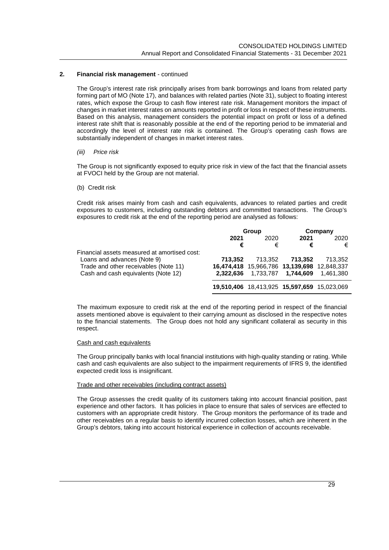The Group's interest rate risk principally arises from bank borrowings and loans from related party forming part of MO (Note 17), and balances with related parties (Note 31), subject to floating interest rates, which expose the Group to cash flow interest rate risk. Management monitors the impact of changes in market interest rates on amounts reported in profit or loss in respect of these instruments. Based on this analysis, management considers the potential impact on profit or loss of a defined interest rate shift that is reasonably possible at the end of the reporting period to be immaterial and accordingly the level of interest rate risk is contained. The Group's operating cash flows are substantially independent of changes in market interest rates.

# *(iii) Price risk*

The Group is not significantly exposed to equity price risk in view of the fact that the financial assets at FVOCI held by the Group are not material.

# (b) Credit risk

Credit risk arises mainly from cash and cash equivalents, advances to related parties and credit exposures to customers, including outstanding debtors and committed transactions. The Group's exposures to credit risk at the end of the reporting period are analysed as follows:

|                                              | Group        |                                             |         | Company   |  |      |
|----------------------------------------------|--------------|---------------------------------------------|---------|-----------|--|------|
|                                              | 2021<br>2020 |                                             | 2021    |           |  | 2020 |
|                                              | €            | €                                           | €       | €         |  |      |
| Financial assets measured at amortised cost: |              |                                             |         |           |  |      |
| Loans and advances (Note 9)                  | 713.352      | 713,352                                     | 713.352 | 713.352   |  |      |
| Trade and other receivables (Note 11)        |              | 16,474,418 15,966,786 13,139,698 12,848,337 |         |           |  |      |
| Cash and cash equivalents (Note 12)          | 2.322.636    |                                             |         | 1.461.380 |  |      |
|                                              |              | 19,510,406 18,413,925 15,597,659 15,023,069 |         |           |  |      |

The maximum exposure to credit risk at the end of the reporting period in respect of the financial assets mentioned above is equivalent to their carrying amount as disclosed in the respective notes to the financial statements. The Group does not hold any significant collateral as security in this respect.

#### Cash and cash equivalents

The Group principally banks with local financial institutions with high-quality standing or rating. While cash and cash equivalents are also subject to the impairment requirements of IFRS 9, the identified expected credit loss is insignificant.

#### Trade and other receivables (including contract assets)

The Group assesses the credit quality of its customers taking into account financial position, past experience and other factors. It has policies in place to ensure that sales of services are effected to customers with an appropriate credit history. The Group monitors the performance of its trade and other receivables on a regular basis to identify incurred collection losses, which are inherent in the Group's debtors, taking into account historical experience in collection of accounts receivable.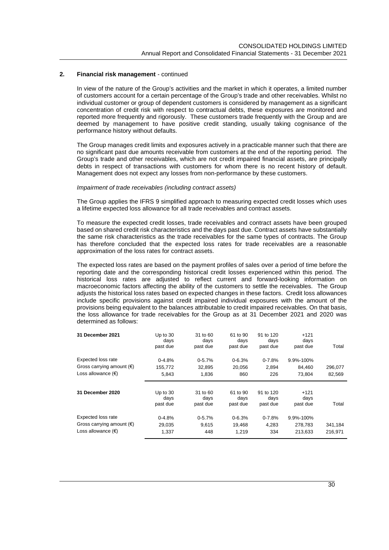In view of the nature of the Group's activities and the market in which it operates, a limited number of customers account for a certain percentage of the Group's trade and other receivables. Whilst no individual customer or group of dependent customers is considered by management as a significant concentration of credit risk with respect to contractual debts, these exposures are monitored and reported more frequently and rigorously. These customers trade frequently with the Group and are deemed by management to have positive credit standing, usually taking cognisance of the performance history without defaults.

The Group manages credit limits and exposures actively in a practicable manner such that there are no significant past due amounts receivable from customers at the end of the reporting period. The Group's trade and other receivables, which are not credit impaired financial assets, are principally debts in respect of transactions with customers for whom there is no recent history of default. Management does not expect any losses from non-performance by these customers.

#### *Impairment of trade receivables (including contract assets)*

The Group applies the IFRS 9 simplified approach to measuring expected credit losses which uses a lifetime expected loss allowance for all trade receivables and contract assets.

To measure the expected credit losses, trade receivables and contract assets have been grouped based on shared credit risk characteristics and the days past due. Contract assets have substantially the same risk characteristics as the trade receivables for the same types of contracts. The Group has therefore concluded that the expected loss rates for trade receivables are a reasonable approximation of the loss rates for contract assets.

The expected loss rates are based on the payment profiles of sales over a period of time before the reporting date and the corresponding historical credit losses experienced within this period. The historical loss rates are adjusted to reflect current and forward-looking information on macroeconomic factors affecting the ability of the customers to settle the receivables. The Group adjusts the historical loss rates based on expected changes in these factors. Credit loss allowances include specific provisions against credit impaired individual exposures with the amount of the provisions being equivalent to the balances attributable to credit impaired receivables. On that basis, the loss allowance for trade receivables for the Group as at 31 December 2021 and 2020 was determined as follows:

| 31 December 2021                   | Up to 30<br>days<br>past due | 31 to 60<br>days<br>past due | 61 to 90<br>days<br>past due | 91 to 120<br>days<br>past due | $+121$<br>days<br>past due | Total   |
|------------------------------------|------------------------------|------------------------------|------------------------------|-------------------------------|----------------------------|---------|
| Expected loss rate                 | $0 - 4.8%$                   | $0 - 5.7%$                   | $0 - 6.3%$                   | $0 - 7.8%$                    | 9.9%-100%                  |         |
| Gross carrying amount $(\epsilon)$ | 155.772                      | 32.895                       | 20.056                       | 2.894                         | 84.460                     | 296,077 |
| Loss allowance $(\epsilon)$        | 5,843                        | 1,836                        | 860                          | 226                           | 73.804                     | 82,569  |
| 31 December 2020                   | Up to 30<br>days<br>past due | 31 to 60<br>days<br>past due | 61 to 90<br>days<br>past due | 91 to 120<br>days<br>past due | $+121$<br>days<br>past due | Total   |
| Expected loss rate                 | $0 - 4.8%$                   | $0 - 5.7%$                   | $0 - 6.3%$                   | $0 - 7.8%$                    | 9.9%-100%                  |         |
| Gross carrying amount $(\epsilon)$ | 29,035                       | 9,615                        | 19,468                       | 4,283                         | 278,783                    | 341,184 |
| Loss allowance $(\epsilon)$        | 1,337                        | 448                          | 1,219                        | 334                           | 213,633                    | 216,971 |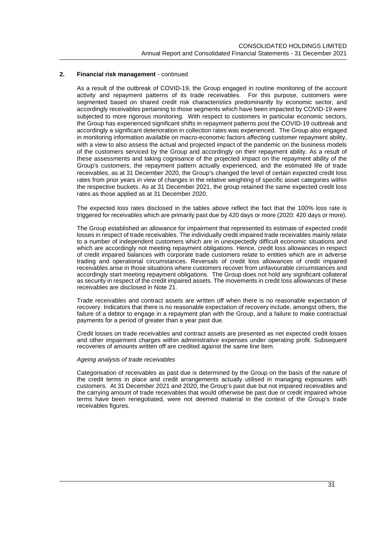As a result of the outbreak of COVID-19, the Group engaged in routine monitoring of the account activity and repayment patterns of its trade receivables. For this purpose, customers were segmented based on shared credit risk characteristics predominantly by economic sector, and accordingly receivables pertaining to those segments which have been impacted by COVID-19 were subjected to more rigorous monitoring. With respect to customers in particular economic sectors, the Group has experienced significant shifts in repayment patterns post the COVID-19 outbreak and accordingly a significant deterioration in collection rates was experienced. The Group also engaged in monitoring information available on macro-economic factors affecting customer repayment ability, with a view to also assess the actual and projected impact of the pandemic on the business models of the customers serviced by the Group and accordingly on their repayment ability. As a result of these assessments and taking cognisance of the projected impact on the repayment ability of the Group's customers, the repayment pattern actually experienced, and the estimated life of trade receivables, as at 31 December 2020, the Group's changed the level of certain expected credit loss rates from prior years in view of changes in the relative weighting of specific asset categories within the respective buckets. As at 31 December 2021, the group retained the same expected credit loss rates as those applied as at 31 December 2020.

The expected loss rates disclosed in the tables above reflect the fact that the 100% loss rate is triggered for receivables which are primarily past due by 420 days or more (2020: 420 days or more).

The Group established an allowance for impairment that represented its estimate of expected credit losses in respect of trade receivables. The individually credit impaired trade receivables mainly relate to a number of independent customers which are in unexpectedly difficult economic situations and which are accordingly not meeting repayment obligations. Hence, credit loss allowances in respect of credit impaired balances with corporate trade customers relate to entities which are in adverse trading and operational circumstances. Reversals of credit loss allowances of credit impaired receivables arise in those situations where customers recover from unfavourable circumstances and accordingly start meeting repayment obligations. The Group does not hold any significant collateral as security in respect of the credit impaired assets. The movements in credit loss allowances of these receivables are disclosed in Note 21.

Trade receivables and contract assets are written off when there is no reasonable expectation of recovery. Indicators that there is no reasonable expectation of recovery include, amongst others, the failure of a debtor to engage in a repayment plan with the Group, and a failure to make contractual payments for a period of greater than a year past due.

Credit losses on trade receivables and contract assets are presented as net expected credit losses and other impairment charges within administrative expenses under operating profit. Subsequent recoveries of amounts written off are credited against the same line item.

#### *Ageing analysis of trade receivables*

Categorisation of receivables as past due is determined by the Group on the basis of the nature of the credit terms in place and credit arrangements actually utilised in managing exposures with customers. At 31 December 2021 and 2020, the Group's past due but not impaired receivables and the carrying amount of trade receivables that would otherwise be past due or credit impaired whose terms have been renegotiated, were not deemed material in the context of the Group's trade receivables figures.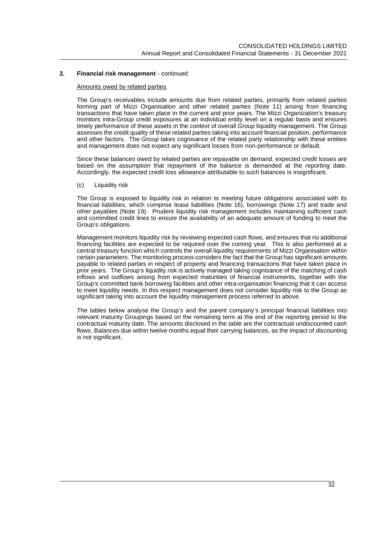#### Amounts owed by related parties

The Group's receivables include amounts due from related parties, primarily from related parties forming part of Mizzi Organisation and other related parties (Note 11) arising from financing transactions that have taken place in the current and prior years. The Mizzi Organization's treasury monitors intra-Group credit exposures at an individual entity level on a regular basis and ensures timely performance of these assets in the context of overall Group liquidity management. The Group assesses the credit quality of these related parties taking into account financial position, performance and other factors. The Group takes cognisance of the related party relationship with these entities and management does not expect any significant losses from non-performance or default.

Since these balances owed by related parties are repayable on demand, expected credit losses are based on the assumption that repayment of the balance is demanded at the reporting date. Accordingly, the expected credit loss allowance attributable to such balances is insignificant.

(c) Liquidity risk

The Group is exposed to liquidity risk in relation to meeting future obligations associated with its financial liabilities, which comprise lease liabilities (Note 16), borrowings (Note 17) and trade and other payables (Note 19). Prudent liquidity risk management includes maintaining sufficient cash and committed credit lines to ensure the availability of an adequate amount of funding to meet the Group's obligations.

Management monitors liquidity risk by reviewing expected cash flows, and ensures that no additional financing facilities are expected to be required over the coming year. This is also performed at a central treasury function which controls the overall liquidity requirements of Mizzi Organisation within certain parameters. The monitoring process considers the fact that the Group has significant amounts payable to related parties in respect of property and financing transactions that have taken place in prior years. The Group's liquidity risk is actively managed taking cognisance of the matching of cash inflows and outflows arising from expected maturities of financial instruments, together with the Group's committed bank borrowing facilities and other intra-organisation financing that it can access to meet liquidity needs. In this respect management does not consider liquidity risk to the Group as significant taking into account the liquidity management process referred to above.

The tables below analyse the Group's and the parent company's principal financial liabilities into relevant maturity Groupings based on the remaining term at the end of the reporting period to the contractual maturity date. The amounts disclosed in the table are the contractual undiscounted cash flows. Balances due within twelve months equal their carrying balances, as the impact of discounting is not significant.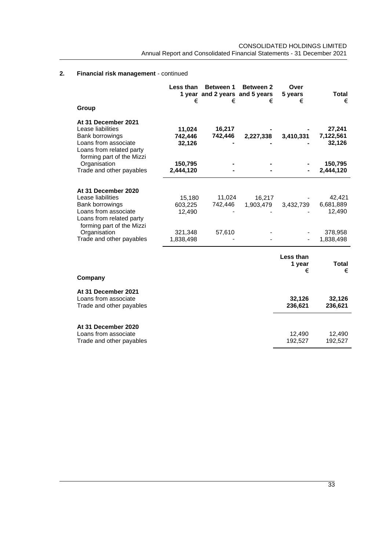|                                                                                                                                                                                          | Less than<br>€                                      | Between 1<br>1 year and 2 years and 5 years<br>€ | <b>Between 2</b><br>€ | Over<br>5 years<br>€   | <b>Total</b><br>€                                     |
|------------------------------------------------------------------------------------------------------------------------------------------------------------------------------------------|-----------------------------------------------------|--------------------------------------------------|-----------------------|------------------------|-------------------------------------------------------|
| Group                                                                                                                                                                                    |                                                     |                                                  |                       |                        |                                                       |
| At 31 December 2021<br>Lease liabilities<br>Bank borrowings<br>Loans from associate<br>Loans from related party<br>forming part of the Mizzi                                             | 11,024<br>742,446<br>32,126                         | 16,217<br>742,446                                | 2,227,338             | 3,410,331              | 27,241<br>7,122,561<br>32,126                         |
| Organisation<br>Trade and other payables                                                                                                                                                 | 150,795<br>2,444,120                                |                                                  |                       |                        | 150,795<br>2,444,120                                  |
| At 31 December 2020<br>Lease liabilities<br>Bank borrowings<br>Loans from associate<br>Loans from related party<br>forming part of the Mizzi<br>Organisation<br>Trade and other payables | 15,180<br>603,225<br>12,490<br>321,348<br>1,838,498 | 11,024<br>742,446<br>57,610                      | 16,217<br>1,903,479   | 3,432,739<br>Less than | 42,421<br>6,681,889<br>12,490<br>378,958<br>1,838,498 |
| Company                                                                                                                                                                                  |                                                     |                                                  |                       | 1 year<br>€            | <b>Total</b><br>€                                     |
| At 31 December 2021                                                                                                                                                                      |                                                     |                                                  |                       |                        |                                                       |
| Loans from associate<br>Trade and other payables                                                                                                                                         |                                                     |                                                  |                       | 32,126<br>236,621      | 32,126<br>236,621                                     |
| At 31 December 2020<br>Loans from associate<br>Trade and other payables                                                                                                                  |                                                     |                                                  |                       | 12,490<br>192,527      | 12,490<br>192,527                                     |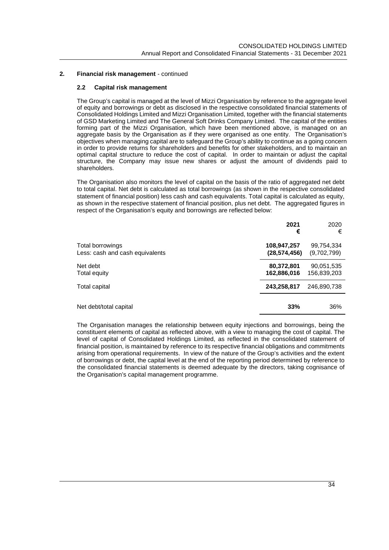#### **2.2 Capital risk management**

The Group's capital is managed at the level of Mizzi Organisation by reference to the aggregate level of equity and borrowings or debt as disclosed in the respective consolidated financial statements of Consolidated Holdings Limited and Mizzi Organisation Limited, together with the financial statements of GSD Marketing Limited and The General Soft Drinks Company Limited. The capital of the entities forming part of the Mizzi Organisation, which have been mentioned above, is managed on an aggregate basis by the Organisation as if they were organised as one entity. The Organisation's objectives when managing capital are to safeguard the Group's ability to continue as a going concern in order to provide returns for shareholders and benefits for other stakeholders, and to maintain an optimal capital structure to reduce the cost of capital. In order to maintain or adjust the capital structure, the Company may issue new shares or adjust the amount of dividends paid to shareholders.

The Organisation also monitors the level of capital on the basis of the ratio of aggregated net debt to total capital. Net debt is calculated as total borrowings (as shown in the respective consolidated statement of financial position) less cash and cash equivalents. Total capital is calculated as equity, as shown in the respective statement of financial position, plus net debt. The aggregated figures in respect of the Organisation's equity and borrowings are reflected below:

|                                                     | 2021<br>€                   | 2020<br>€                 |
|-----------------------------------------------------|-----------------------------|---------------------------|
| Total borrowings<br>Less: cash and cash equivalents | 108,947,257<br>(28.574.456) | 99,754,334<br>(9,702,799) |
| Net debt<br>Total equity                            | 80,372,801<br>162,886,016   | 90,051,535<br>156,839,203 |
| Total capital                                       | 243,258,817                 | 246,890,738               |
| Net debt/total capital                              | 33%                         | 36%                       |

The Organisation manages the relationship between equity injections and borrowings, being the constituent elements of capital as reflected above, with a view to managing the cost of capital. The level of capital of Consolidated Holdings Limited, as reflected in the consolidated statement of financial position, is maintained by reference to its respective financial obligations and commitments arising from operational requirements. In view of the nature of the Group's activities and the extent of borrowings or debt, the capital level at the end of the reporting period determined by reference to the consolidated financial statements is deemed adequate by the directors, taking cognisance of the Organisation's capital management programme.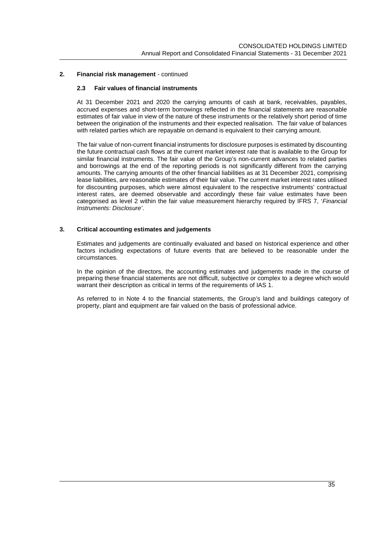# **2.3 Fair values of financial instruments**

At 31 December 2021 and 2020 the carrying amounts of cash at bank, receivables, payables, accrued expenses and short-term borrowings reflected in the financial statements are reasonable estimates of fair value in view of the nature of these instruments or the relatively short period of time between the origination of the instruments and their expected realisation. The fair value of balances with related parties which are repayable on demand is equivalent to their carrying amount.

The fair value of non-current financial instruments for disclosure purposes is estimated by discounting the future contractual cash flows at the current market interest rate that is available to the Group for similar financial instruments. The fair value of the Group's non-current advances to related parties and borrowings at the end of the reporting periods is not significantly different from the carrying amounts. The carrying amounts of the other financial liabilities as at 31 December 2021, comprising lease liabilities, are reasonable estimates of their fair value. The current market interest rates utilised for discounting purposes, which were almost equivalent to the respective instruments' contractual interest rates, are deemed observable and accordingly these fair value estimates have been categorised as level 2 within the fair value measurement hierarchy required by IFRS 7, '*Financial Instruments: Disclosure'*.

#### **3. Critical accounting estimates and judgements**

Estimates and judgements are continually evaluated and based on historical experience and other factors including expectations of future events that are believed to be reasonable under the circumstances.

In the opinion of the directors, the accounting estimates and judgements made in the course of preparing these financial statements are not difficult, subjective or complex to a degree which would warrant their description as critical in terms of the requirements of IAS 1.

As referred to in Note 4 to the financial statements, the Group's land and buildings category of property, plant and equipment are fair valued on the basis of professional advice.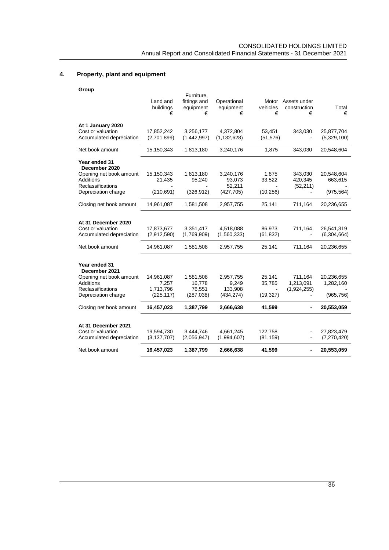# **4. Property, plant and equipment**

**Group**

|                                                                                                                    | Land and<br>buildings<br>€                     | Furniture,<br>fittings and<br>equipment<br>€ | Operational<br>equipment<br>€               | Motor<br>vehicles<br>€        | Assets under<br>construction<br>€   | Total<br>€                              |
|--------------------------------------------------------------------------------------------------------------------|------------------------------------------------|----------------------------------------------|---------------------------------------------|-------------------------------|-------------------------------------|-----------------------------------------|
| At 1 January 2020<br>Cost or valuation<br>Accumulated depreciation                                                 | 17,852,242<br>(2,701,899)                      | 3,256,177<br>(1,442,997)                     | 4,372,804<br>(1, 132, 628)                  | 53,451<br>(51, 576)           | 343,030                             | 25,877,704<br>(5,329,100)               |
| Net book amount                                                                                                    | 15,150,343                                     | 1,813,180                                    | 3,240,176                                   | 1,875                         | 343,030                             | 20,548,604                              |
| Year ended 31<br>December 2020<br>Opening net book amount<br>Additions<br>Reclassifications                        | 15,150,343<br>21,435                           | 1,813,180<br>95,240                          | 3,240,176<br>93,073<br>52,211               | 1,875<br>33,522               | 343,030<br>420,345<br>(52, 211)     | 20,548,604<br>663,615                   |
| Depreciation charge                                                                                                | (210, 691)                                     | (326, 912)                                   | (427, 705)                                  | (10, 256)                     |                                     | (975, 564)                              |
| Closing net book amount                                                                                            | 14,961,087                                     | 1,581,508                                    | 2,957,755                                   | 25,141                        | 711,164                             | 20,236,655                              |
| At 31 December 2020<br>Cost or valuation<br>Accumulated depreciation<br>Net book amount                            | 17,873,677<br>(2,912,590)<br>14,961,087        | 3,351,417<br>(1,769,909)<br>1,581,508        | 4,518,088<br>(1,560,333)<br>2,957,755       | 86,973<br>(61, 832)<br>25,141 | 711,164<br>711,164                  | 26,541,319<br>(6,304,664)<br>20,236,655 |
| Year ended 31<br>December 2021<br>Opening net book amount<br>Additions<br>Reclassifications<br>Depreciation charge | 14,961,087<br>7,257<br>1,713,796<br>(225, 117) | 1,581,508<br>16,778<br>76,551<br>(287, 038)  | 2,957,755<br>9,249<br>133,908<br>(434, 274) | 25,141<br>35,785<br>(19, 327) | 711,164<br>1,213,091<br>(1,924,255) | 20,236,655<br>1,282,160<br>(965, 756)   |
| Closing net book amount                                                                                            | 16,457,023                                     | 1,387,799                                    | 2,666,638                                   | 41,599                        |                                     | 20,553,059                              |
| At 31 December 2021<br>Cost or valuation<br>Accumulated depreciation                                               | 19,594,730<br>(3, 137, 707)                    | 3,444,746<br>(2,056,947)                     | 4,661,245<br>(1,994,607)                    | 122.758<br>(81, 159)          |                                     | 27,823,479<br>(7,270,420)               |
| Net book amount                                                                                                    | 16,457,023                                     | 1,387,799                                    | 2,666,638                                   | 41,599                        |                                     | 20,553,059                              |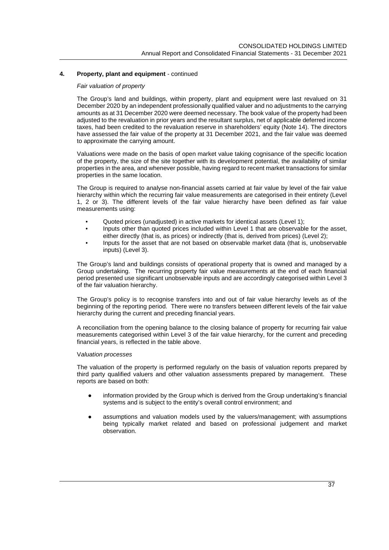#### *Fair valuation of property*

The Group's land and buildings, within property, plant and equipment were last revalued on 31 December 2020 by an independent professionally qualified valuer and no adjustments to the carrying amounts as at 31 December 2020 were deemed necessary. The book value of the property had been adjusted to the revaluation in prior years and the resultant surplus, net of applicable deferred income taxes, had been credited to the revaluation reserve in shareholders' equity (Note 14). The directors have assessed the fair value of the property at 31 December 2021, and the fair value was deemed to approximate the carrying amount.

Valuations were made on the basis of open market value taking cognisance of the specific location of the property, the size of the site together with its development potential, the availability of similar properties in the area, and whenever possible, having regard to recent market transactions for similar properties in the same location.

The Group is required to analyse non-financial assets carried at fair value by level of the fair value hierarchy within which the recurring fair value measurements are categorised in their entirety (Level 1, 2 or 3). The different levels of the fair value hierarchy have been defined as fair value measurements using:

- Quoted prices (unadjusted) in active markets for identical assets (Level 1);
- Inputs other than quoted prices included within Level 1 that are observable for the asset, either directly (that is, as prices) or indirectly (that is, derived from prices) (Level 2);
- Inputs for the asset that are not based on observable market data (that is, unobservable inputs) (Level 3).

The Group's land and buildings consists of operational property that is owned and managed by a Group undertaking. The recurring property fair value measurements at the end of each financial period presented use significant unobservable inputs and are accordingly categorised within Level 3 of the fair valuation hierarchy.

The Group's policy is to recognise transfers into and out of fair value hierarchy levels as of the beginning of the reporting period. There were no transfers between different levels of the fair value hierarchy during the current and preceding financial years.

A reconciliation from the opening balance to the closing balance of property for recurring fair value measurements categorised within Level 3 of the fair value hierarchy, for the current and preceding financial years, is reflected in the table above.

#### V*aluation processes*

The valuation of the property is performed regularly on the basis of valuation reports prepared by third party qualified valuers and other valuation assessments prepared by management. These reports are based on both:

- information provided by the Group which is derived from the Group undertaking's financial systems and is subject to the entity's overall control environment; and
- assumptions and valuation models used by the valuers/management; with assumptions being typically market related and based on professional judgement and market observation.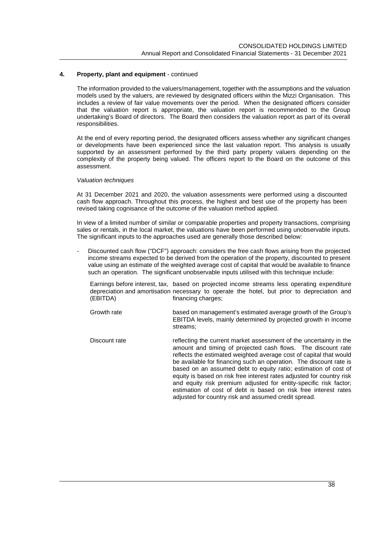The information provided to the valuers/management, together with the assumptions and the valuation models used by the valuers, are reviewed by designated officers within the Mizzi Organisation. This includes a review of fair value movements over the period. When the designated officers consider that the valuation report is appropriate, the valuation report is recommended to the Group undertaking's Board of directors. The Board then considers the valuation report as part of its overall responsibilities.

At the end of every reporting period, the designated officers assess whether any significant changes or developments have been experienced since the last valuation report. This analysis is usually supported by an assessment performed by the third party property valuers depending on the complexity of the property being valued. The officers report to the Board on the outcome of this assessment.

#### *Valuation techniques*

At 31 December 2021 and 2020, the valuation assessments were performed using a discounted cash flow approach. Throughout this process, the highest and best use of the property has been revised taking cognisance of the outcome of the valuation method applied.

In view of a limited number of similar or comparable properties and property transactions, comprising sales or rentals, in the local market, the valuations have been performed using unobservable inputs. The significant inputs to the approaches used are generally those described below:

- Discounted cash flow ("DCF") approach: considers the free cash flows arising from the projected income streams expected to be derived from the operation of the property, discounted to present value using an estimate of the weighted average cost of capital that would be available to finance such an operation. The significant unobservable inputs utilised with this technique include:

Earnings before interest, tax, based on projected income streams less operating expenditure depreciation and amortisation necessary to operate the hotel, but prior to depreciation and (EBITDA) financing charges:

- Growth rate based on management's estimated average growth of the Group's EBITDA levels, mainly determined by projected growth in income streams;
- Discount rate reflecting the current market assessment of the uncertainty in the amount and timing of projected cash flows. The discount rate reflects the estimated weighted average cost of capital that would be available for financing such an operation. The discount rate is based on an assumed debt to equity ratio; estimation of cost of equity is based on risk free interest rates adjusted for country risk and equity risk premium adjusted for entity-specific risk factor; estimation of cost of debt is based on risk free interest rates adjusted for country risk and assumed credit spread.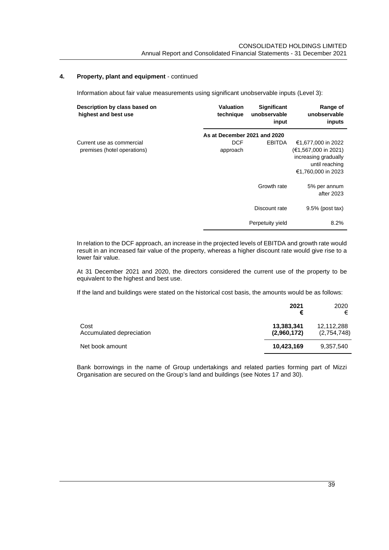Information about fair value measurements using significant unobservable inputs (Level 3):

| Description by class based on<br>highest and best use    | <b>Valuation</b><br>technique | <b>Significant</b><br>unobservable<br>input | Range of<br>unobservable<br>inputs                                                                         |
|----------------------------------------------------------|-------------------------------|---------------------------------------------|------------------------------------------------------------------------------------------------------------|
|                                                          | As at December 2021 and 2020  |                                             |                                                                                                            |
| Current use as commercial<br>premises (hotel operations) | <b>DCF</b><br>approach        | <b>EBITDA</b>                               | €1,677,000 in 2022<br>(€1,567,000 in 2021)<br>increasing gradually<br>until reaching<br>€1,760,000 in 2023 |
|                                                          |                               | Growth rate                                 | 5% per annum<br>after 2023                                                                                 |
|                                                          |                               | Discount rate                               | $9.5\%$ (post tax)                                                                                         |
|                                                          |                               | Perpetuity yield                            | 8.2%                                                                                                       |

In relation to the DCF approach, an increase in the projected levels of EBITDA and growth rate would result in an increased fair value of the property, whereas a higher discount rate would give rise to a lower fair value.

At 31 December 2021 and 2020, the directors considered the current use of the property to be equivalent to the highest and best use.

If the land and buildings were stated on the historical cost basis, the amounts would be as follows:

|                                  | 2021<br>€                 | 2020<br>€                 |
|----------------------------------|---------------------------|---------------------------|
| Cost<br>Accumulated depreciation | 13,383,341<br>(2,960,172) | 12,112,288<br>(2,754,748) |
| Net book amount                  | 10,423,169                | 9,357,540                 |

Bank borrowings in the name of Group undertakings and related parties forming part of Mizzi Organisation are secured on the Group's land and buildings (see Notes 17 and 30).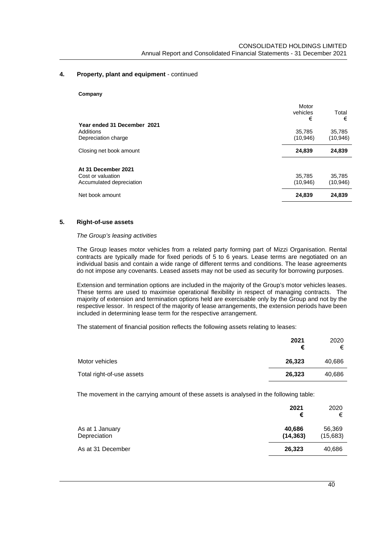#### **Company**

|                                                                      | Motor<br>vehicles<br>€ | Total<br>€          |
|----------------------------------------------------------------------|------------------------|---------------------|
| Year ended 31 December 2021<br>Additions<br>Depreciation charge      | 35,785<br>(10, 946)    | 35,785<br>(10, 946) |
| Closing net book amount                                              | 24,839                 | 24,839              |
| At 31 December 2021<br>Cost or valuation<br>Accumulated depreciation | 35,785<br>(10, 946)    | 35,785<br>(10, 946) |
| Net book amount                                                      | 24,839                 | 24,839              |

#### **5. Right-of-use assets**

#### *The Group's leasing activities*

The Group leases motor vehicles from a related party forming part of Mizzi Organisation. Rental contracts are typically made for fixed periods of 5 to 6 years. Lease terms are negotiated on an individual basis and contain a wide range of different terms and conditions. The lease agreements do not impose any covenants. Leased assets may not be used as security for borrowing purposes.

Extension and termination options are included in the majority of the Group's motor vehicles leases. These terms are used to maximise operational flexibility in respect of managing contracts. The majority of extension and termination options held are exercisable only by the Group and not by the respective lessor. In respect of the majority of lease arrangements, the extension periods have been included in determining lease term for the respective arrangement.

The statement of financial position reflects the following assets relating to leases:

|                           | 2021<br>€ | 2020<br>€ |
|---------------------------|-----------|-----------|
| Motor vehicles            | 26,323    | 40,686    |
| Total right-of-use assets | 26,323    | 40,686    |

The movement in the carrying amount of these assets is analysed in the following table:

|                                 | 2021<br>€           | 2020<br>€          |
|---------------------------------|---------------------|--------------------|
| As at 1 January<br>Depreciation | 40,686<br>(14, 363) | 56,369<br>(15,683) |
| As at 31 December               | 26,323              | 40,686             |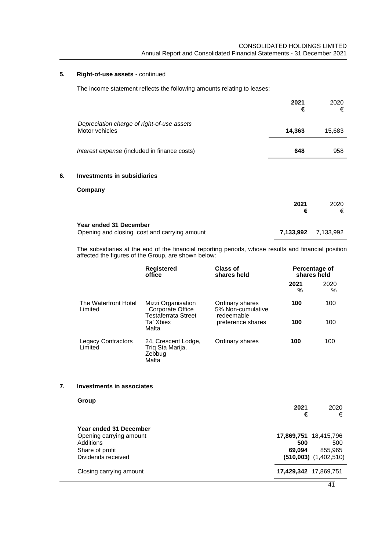# **5. Right-of-use assets** - continued

The income statement reflects the following amounts relating to leases:

|    |                                                              | 2021<br>€ | 2020<br>€ |
|----|--------------------------------------------------------------|-----------|-----------|
|    | Depreciation charge of right-of-use assets<br>Motor vehicles | 14,363    | 15,683    |
|    | Interest expense (included in finance costs)                 | 648       | 958       |
| 6. | <b>Investments in subsidiaries</b>                           |           |           |
|    | Company                                                      |           |           |
|    |                                                              | 2021<br>€ | 2020<br>€ |
|    | Year ended 31 December                                       |           |           |

The subsidiaries at the end of the financial reporting periods, whose results and financial position affected the figures of the Group, are shown below:

Opening and closing cost and carrying amount **7,133,992** 7,133,992

|                                 | <b>Registered</b><br>office                                                       | <b>Class of</b><br>shares held                                          | Percentage of<br>shares held |              |
|---------------------------------|-----------------------------------------------------------------------------------|-------------------------------------------------------------------------|------------------------------|--------------|
|                                 |                                                                                   |                                                                         | 2021<br>%                    | 2020<br>$\%$ |
| The Waterfront Hotel<br>Limited | Mizzi Organisation<br>Corporate Office<br><b>Testaferrata Street</b><br>Ta' Xbiex | Ordinary shares<br>5% Non-cumulative<br>redeemable<br>preference shares | 100<br>100                   | 100<br>100   |
| <b>Legacy Contractors</b>       | Malta<br>24, Crescent Lodge,                                                      | Ordinary shares                                                         | 100                          | 100          |
| Limited                         | Triq Sta Marija,<br>Zebbug<br>Malta                                               |                                                                         |                              |              |

#### **7. Investments in associates**

| Group                   | 2021<br>€ | 2020<br>€                 |
|-------------------------|-----------|---------------------------|
| Year ended 31 December  |           |                           |
| Opening carrying amount |           | 17,869,751 18,415,796     |
| Additions               | 500       | 500                       |
| Share of profit         | 69.094    | 855,965                   |
| Dividends received      |           | $(510,003)$ $(1,402,510)$ |
| Closing carrying amount |           | 17,429,342 17,869,751     |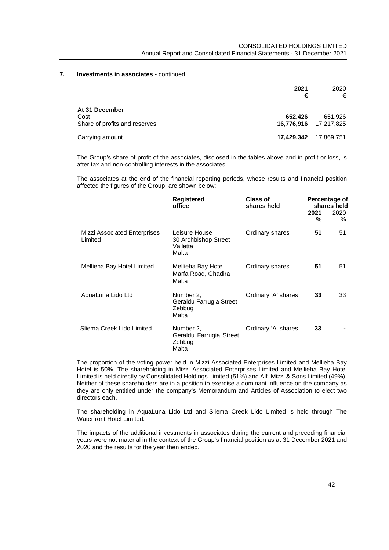|                                                         | 2021<br>€             | 2020<br>€                        |
|---------------------------------------------------------|-----------------------|----------------------------------|
| At 31 December<br>Cost<br>Share of profits and reserves | 652,426               | 651,926<br>16,776,916 17,217,825 |
| Carrying amount                                         | 17,429,342 17,869,751 |                                  |

The Group's share of profit of the associates, disclosed in the tables above and in profit or loss, is after tax and non-controlling interests in the associates.

The associates at the end of the financial reporting periods, whose results and financial position affected the figures of the Group, are shown below:

|                                         | Registered<br>office                                       | Class of<br>shares held | Percentage of<br>2021<br>℅ | shares held<br>2020<br>% |
|-----------------------------------------|------------------------------------------------------------|-------------------------|----------------------------|--------------------------|
| Mizzi Associated Enterprises<br>Limited | Leisure House<br>30 Archbishop Street<br>Valletta<br>Malta | Ordinary shares         | 51                         | 51                       |
| Mellieha Bay Hotel Limited              | Mellieha Bay Hotel<br>Marfa Road, Ghadira<br>Malta         | Ordinary shares         | 51                         | 51                       |
| AquaLuna Lido Ltd                       | Number 2,<br>Geraldu Farrugia Street<br>Zebbug<br>Malta    | Ordinary 'A' shares     | 33                         | 33                       |
| Sliema Creek Lido Limited               | Number 2,<br>Geraldu Farrugia Street<br>Zebbug<br>Malta    | Ordinary 'A' shares     | 33                         |                          |

The proportion of the voting power held in Mizzi Associated Enterprises Limited and Mellieha Bay Hotel is 50%. The shareholding in Mizzi Associated Enterprises Limited and Mellieha Bay Hotel Limited is held directly by Consolidated Holdings Limited (51%) and Alf. Mizzi & Sons Limited (49%). Neither of these shareholders are in a position to exercise a dominant influence on the company as they are only entitled under the company's Memorandum and Articles of Association to elect two directors each.

The shareholding in AquaLuna Lido Ltd and Sliema Creek Lido Limited is held through The Waterfront Hotel Limited.

The impacts of the additional investments in associates during the current and preceding financial years were not material in the context of the Group's financial position as at 31 December 2021 and 2020 and the results for the year then ended.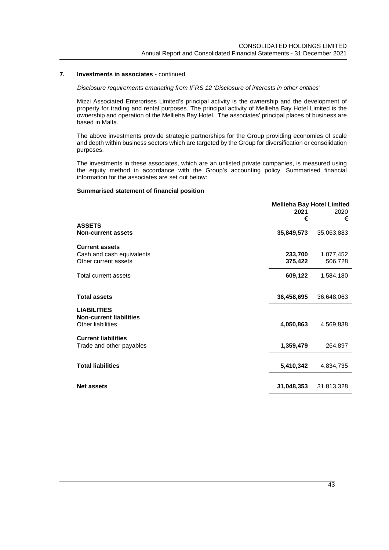*Disclosure requirements emanating from IFRS 12 'Disclosure of interests in other entities'*

Mizzi Associated Enterprises Limited's principal activity is the ownership and the development of property for trading and rental purposes. The principal activity of Mellieha Bay Hotel Limited is the ownership and operation of the Mellieha Bay Hotel. The associates' principal places of business are based in Malta.

The above investments provide strategic partnerships for the Group providing economies of scale and depth within business sectors which are targeted by the Group for diversification or consolidation purposes.

The investments in these associates, which are an unlisted private companies, is measured using the equity method in accordance with the Group's accounting policy. Summarised financial information for the associates are set out below:

# **Summarised statement of financial position**

|                                                                           | <b>Mellieha Bay Hotel Limited</b> |            |  |
|---------------------------------------------------------------------------|-----------------------------------|------------|--|
|                                                                           | 2021                              | 2020       |  |
|                                                                           | €                                 | €          |  |
| <b>ASSETS</b><br><b>Non-current assets</b>                                | 35,849,573                        | 35,063,883 |  |
| <b>Current assets</b>                                                     |                                   |            |  |
| Cash and cash equivalents                                                 | 233,700                           | 1,077,452  |  |
| Other current assets                                                      | 375,422                           | 506,728    |  |
| Total current assets                                                      | 609,122                           | 1,584,180  |  |
| <b>Total assets</b>                                                       | 36,458,695                        | 36,648,063 |  |
| <b>LIABILITIES</b><br><b>Non-current liabilities</b><br>Other liabilities | 4,050,863                         | 4,569,838  |  |
| <b>Current liabilities</b>                                                |                                   |            |  |
| Trade and other payables                                                  | 1,359,479                         | 264,897    |  |
| <b>Total liabilities</b>                                                  | 5,410,342                         | 4,834,735  |  |
| <b>Net assets</b>                                                         | 31,048,353                        | 31,813,328 |  |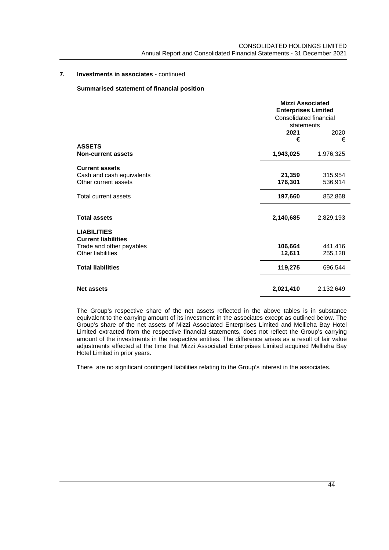# **Summarised statement of financial position**

|                                                                            | <b>Mizzi Associated</b><br><b>Enterprises Limited</b><br>Consolidated financial<br>statements |                    |  |
|----------------------------------------------------------------------------|-----------------------------------------------------------------------------------------------|--------------------|--|
|                                                                            | 2021                                                                                          | 2020               |  |
| <b>ASSETS</b>                                                              | €                                                                                             | €                  |  |
| <b>Non-current assets</b>                                                  | 1,943,025                                                                                     | 1,976,325          |  |
| <b>Current assets</b><br>Cash and cash equivalents<br>Other current assets | 21,359<br>176,301                                                                             | 315,954<br>536,914 |  |
| Total current assets                                                       | 197,660                                                                                       | 852,868            |  |
| <b>Total assets</b>                                                        | 2,140,685                                                                                     | 2,829,193          |  |
| <b>LIABILITIES</b><br><b>Current liabilities</b>                           |                                                                                               |                    |  |
| Trade and other payables                                                   | 106,664                                                                                       | 441,416            |  |
| Other liabilities                                                          | 12,611                                                                                        | 255,128            |  |
| <b>Total liabilities</b>                                                   | 119,275                                                                                       | 696,544            |  |
| <b>Net assets</b>                                                          | 2,021,410                                                                                     | 2,132,649          |  |

The Group's respective share of the net assets reflected in the above tables is in substance equivalent to the carrying amount of its investment in the associates except as outlined below. The Group's share of the net assets of Mizzi Associated Enterprises Limited and Mellieha Bay Hotel Limited extracted from the respective financial statements, does not reflect the Group's carrying amount of the investments in the respective entities. The difference arises as a result of fair value adjustments effected at the time that Mizzi Associated Enterprises Limited acquired Mellieha Bay Hotel Limited in prior years.

There are no significant contingent liabilities relating to the Group's interest in the associates.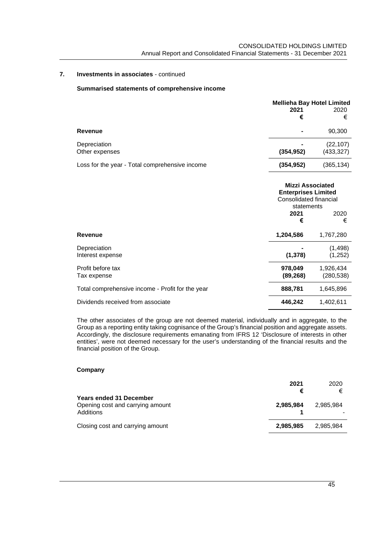# **Summarised statements of comprehensive income**

|                                                | <b>Mellieha Bay Hotel Limited</b> |            |  |
|------------------------------------------------|-----------------------------------|------------|--|
|                                                | 2021<br>2020                      |            |  |
|                                                | €                                 | €          |  |
| Revenue                                        | ۰                                 | 90,300     |  |
| Depreciation                                   | ٠                                 | (22, 107)  |  |
| Other expenses                                 | (354, 952)                        | (433, 327) |  |
| Loss for the year - Total comprehensive income | (354, 952)                        | (365, 134) |  |

|                                                  | <b>Mizzi Associated</b><br><b>Enterprises Limited</b><br>Consolidated financial<br>statements |                         |  |
|--------------------------------------------------|-----------------------------------------------------------------------------------------------|-------------------------|--|
|                                                  | 2021<br>€                                                                                     | 2020<br>€               |  |
| Revenue                                          | 1,204,586                                                                                     | 1,767,280               |  |
| Depreciation<br>Interest expense                 | (1,378)                                                                                       | (1,498)<br>(1,252)      |  |
| Profit before tax<br>Tax expense                 | 978,049<br>(89, 268)                                                                          | 1,926,434<br>(280, 538) |  |
| Total comprehensive income - Profit for the year | 888,781                                                                                       | 1,645,896               |  |
| Dividends received from associate                | 446,242                                                                                       | 1,402,611               |  |

The other associates of the group are not deemed material, individually and in aggregate, to the Group as a reporting entity taking cognisance of the Group's financial position and aggregate assets. Accordingly, the disclosure requirements emanating from IFRS 12 'Disclosure of interests in other entities', were not deemed necessary for the user's understanding of the financial results and the financial position of the Group.

# **Company**

|                                               | 2021      | 2020      |
|-----------------------------------------------|-----------|-----------|
| <b>Years ended 31 December</b>                |           |           |
| Opening cost and carrying amount<br>Additions | 2.985.984 | 2.985.984 |
| Closing cost and carrying amount              | 2.985.985 | 2.985.984 |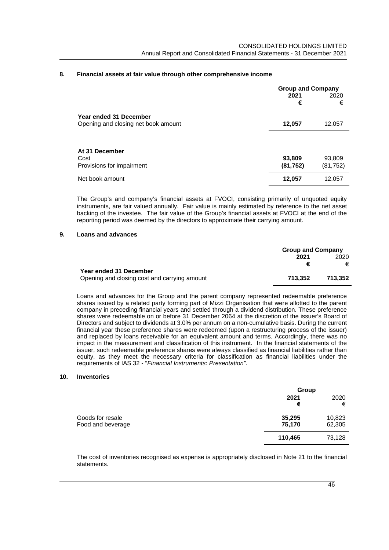# **8. Financial assets at fair value through other comprehensive income**

|                                     | <b>Group and Company</b> |           |  |
|-------------------------------------|--------------------------|-----------|--|
|                                     | 2021<br>2020             |           |  |
|                                     | €                        | €         |  |
| Year ended 31 December              |                          |           |  |
| Opening and closing net book amount | 12,057                   | 12,057    |  |
|                                     |                          |           |  |
| At 31 December                      |                          |           |  |
| Cost                                | 93,809                   | 93,809    |  |
| Provisions for impairment           | (81, 752)                | (81, 752) |  |
| Net book amount                     | 12,057                   | 12,057    |  |

The Group's and company's financial assets at FVOCI, consisting primarily of unquoted equity instruments, are fair valued annually. Fair value is mainly estimated by reference to the net asset backing of the investee. The fair value of the Group's financial assets at FVOCI at the end of the reporting period was deemed by the directors to approximate their carrying amount.

#### **9. Loans and advances**

|                                              | <b>Group and Company</b> |         |
|----------------------------------------------|--------------------------|---------|
|                                              | 2021                     | 2020    |
|                                              |                          | €       |
| Year ended 31 December                       |                          |         |
| Opening and closing cost and carrying amount | 713.352                  | 713.352 |

Loans and advances for the Group and the parent company represented redeemable preference shares issued by a related party forming part of Mizzi Organisation that were allotted to the parent company in preceding financial years and settled through a dividend distribution. These preference shares were redeemable on or before 31 December 2064 at the discretion of the issuer's Board of Directors and subject to dividends at 3.0% per annum on a non-cumulative basis. During the current financial year these preference shares were redeemed (upon a restructuring process of the issuer) and replaced by loans receivable for an equivalent amount and terms. Accordingly, there was no impact in the measurement and classification of this instrument. In the financial statements of the issuer, such redeemable preference shares were always classified as financial liabilities rather than equity, as they meet the necessary criteria for classification as financial liabilities under the requirements of IAS 32 - "*Financial Instruments*: *Presentation"*.

# **10. Inventories**

|                                       |                  | Group            |  |  |
|---------------------------------------|------------------|------------------|--|--|
|                                       | 2021<br>€        | 2020<br>€        |  |  |
| Goods for resale<br>Food and beverage | 35,295<br>75,170 | 10,823<br>62,305 |  |  |
|                                       | 110,465          | 73,128           |  |  |

The cost of inventories recognised as expense is appropriately disclosed in Note 21 to the financial statements.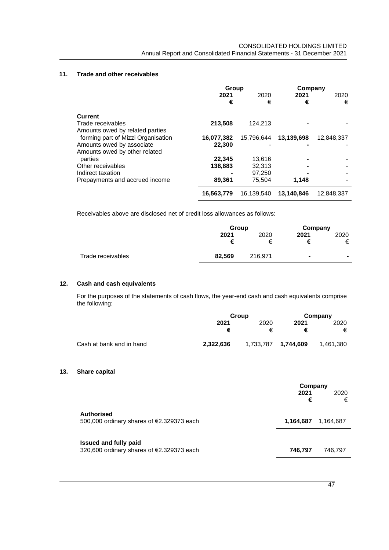# **11. Trade and other receivables**

|                                    | Group      |            | Company    |            |
|------------------------------------|------------|------------|------------|------------|
|                                    | 2021       | 2020       | 2021       | 2020       |
|                                    | €          | €          | €          | €          |
| <b>Current</b>                     |            |            |            |            |
| Trade receivables                  | 213,508    | 124.213    |            |            |
| Amounts owed by related parties    |            |            |            |            |
| forming part of Mizzi Organisation | 16,077,382 | 15.796.644 | 13,139,698 | 12,848,337 |
| Amounts owed by associate          | 22,300     |            |            |            |
| Amounts owed by other related      |            |            |            |            |
| parties                            | 22,345     | 13.616     |            |            |
| Other receivables                  | 138,883    | 32,313     |            |            |
| Indirect taxation                  |            | 97.250     |            |            |
| Prepayments and accrued income     | 89,361     | 75,504     | 1.148      |            |
|                                    | 16,563,779 | 16.139.540 | 13,140,846 | 12.848.337 |

Receivables above are disclosed net of credit loss allowances as follows:

|                   | Group     |           | Company   |                          |
|-------------------|-----------|-----------|-----------|--------------------------|
|                   | 2021<br>€ | 2020<br>€ | 2021<br>€ | 2020<br>€                |
| Trade receivables | 82,569    | 216,971   |           | $\overline{\phantom{a}}$ |

# **12. Cash and cash equivalents**

For the purposes of the statements of cash flows, the year-end cash and cash equivalents comprise the following:

|                          | Group     |      | Company |           |
|--------------------------|-----------|------|---------|-----------|
|                          | 2021      | 2020 | 2021    | 2020      |
|                          |           |      |         | €         |
| Cash at bank and in hand | 2.322.636 |      |         | 1.461.380 |

# **13. Share capital**

|                                                                           | Company<br>2021<br>€ | 2020<br>€ |
|---------------------------------------------------------------------------|----------------------|-----------|
| <b>Authorised</b><br>500,000 ordinary shares of €2.329373 each            | 1,164,687            | 1,164,687 |
| <b>Issued and fully paid</b><br>320,600 ordinary shares of €2.329373 each | 746,797              | 746,797   |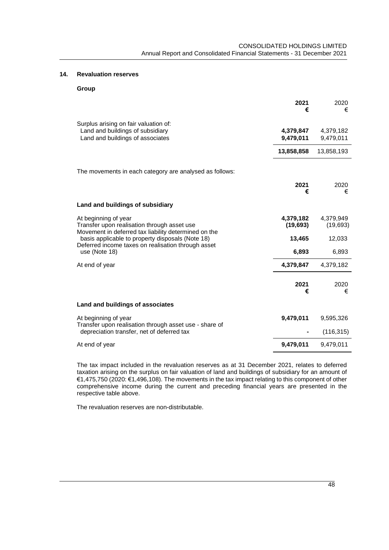# **14. Revaluation reserves**

**Group**

|                                                                                                                             | 2021<br>€              | 2020<br>€              |
|-----------------------------------------------------------------------------------------------------------------------------|------------------------|------------------------|
| Surplus arising on fair valuation of:<br>Land and buildings of subsidiary<br>Land and buildings of associates               | 4,379,847<br>9,479,011 | 4,379,182<br>9,479,011 |
|                                                                                                                             | 13,858,858             | 13,858,193             |
| The movements in each category are analysed as follows:                                                                     |                        |                        |
|                                                                                                                             | 2021<br>€              | 2020<br>€              |
| Land and buildings of subsidiary                                                                                            |                        |                        |
| At beginning of year<br>Transfer upon realisation through asset use<br>Movement in deferred tax liability determined on the | 4,379,182<br>(19, 693) | 4,379,949<br>(19,693)  |
| basis applicable to property disposals (Note 18)<br>Deferred income taxes on realisation through asset                      | 13,465                 | 12,033                 |
| use (Note 18)                                                                                                               | 6,893                  | 6,893                  |
| At end of year                                                                                                              | 4,379,847              | 4,379,182              |
|                                                                                                                             | 2021<br>€              | 2020<br>€              |
| Land and buildings of associates                                                                                            |                        |                        |
| At beginning of year<br>Transfer upon realisation through asset use - share of                                              | 9,479,011              | 9,595,326              |
| depreciation transfer, net of deferred tax                                                                                  |                        | (116, 315)             |
| At end of year                                                                                                              | 9,479,011              | 9,479,011              |

The tax impact included in the revaluation reserves as at 31 December 2021, relates to deferred taxation arising on the surplus on fair valuation of land and buildings of subsidiary for an amount of €1,475,750 (2020: €1,496,108). The movements in the tax impact relating to this component of other comprehensive income during the current and preceding financial years are presented in the respective table above.

The revaluation reserves are non-distributable.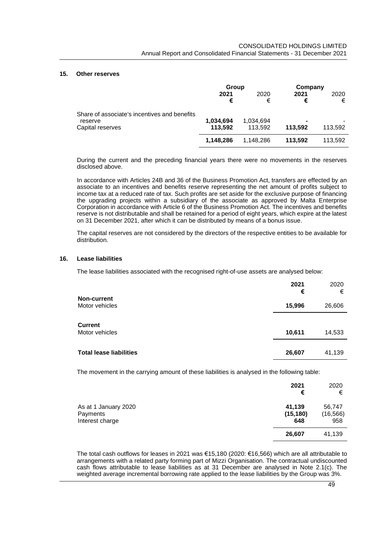#### **15. Other reserves**

|                                              | Group     |           | Company |         |      |
|----------------------------------------------|-----------|-----------|---------|---------|------|
|                                              | 2021      |           | 2020    | 2021    | 2020 |
|                                              | €         | €         | €       | €       |      |
| Share of associate's incentives and benefits |           |           |         |         |      |
| reserve                                      | 1,034,694 | 1,034,694 |         |         |      |
| Capital reserves                             | 113.592   | 113.592   | 113.592 | 113.592 |      |
|                                              | 1,148,286 | 1.148.286 | 113,592 | 113.592 |      |

During the current and the preceding financial years there were no movements in the reserves disclosed above.

In accordance with Articles 24B and 36 of the Business Promotion Act, transfers are effected by an associate to an incentives and benefits reserve representing the net amount of profits subject to income tax at a reduced rate of tax. Such profits are set aside for the exclusive purpose of financing the upgrading projects within a subsidiary of the associate as approved by Malta Enterprise Corporation in accordance with Article 6 of the Business Promotion Act. The incentives and benefits reserve is not distributable and shall be retained for a period of eight years, which expire at the latest on 31 December 2021, after which it can be distributed by means of a bonus issue.

The capital reserves are not considered by the directors of the respective entities to be available for distribution.

#### **16. Lease liabilities**

The lease liabilities associated with the recognised right-of-use assets are analysed below:

|                                | 2021<br>€ | 2020<br>€ |
|--------------------------------|-----------|-----------|
| <b>Non-current</b>             |           |           |
| Motor vehicles                 | 15,996    | 26,606    |
| <b>Current</b>                 |           |           |
| Motor vehicles                 | 10,611    | 14,533    |
| <b>Total lease liabilities</b> | 26,607    | 41,139    |

The movement in the carrying amount of these liabilities is analysed in the following table:

|                                                     | 2021<br>€                  | 2020<br>€                  |
|-----------------------------------------------------|----------------------------|----------------------------|
| As at 1 January 2020<br>Payments<br>Interest charge | 41,139<br>(15, 180)<br>648 | 56,747<br>(16, 566)<br>958 |
|                                                     | 26,607                     | 41,139                     |

The total cash outflows for leases in 2021 was €15,180 (2020: €16,566) which are all attributable to arrangements with a related party forming part of Mizzi Organisation. The contractual undiscounted cash flows attributable to lease liabilities as at 31 December are analysed in Note 2.1(c). The weighted average incremental borrowing rate applied to the lease liabilities by the Group was 3%.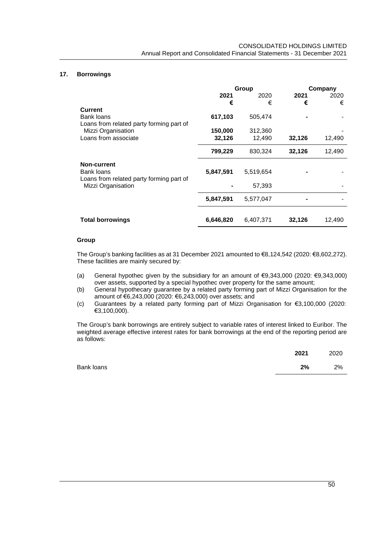# **17. Borrowings**

|                                          |           | Group     |        | Company |
|------------------------------------------|-----------|-----------|--------|---------|
|                                          | 2021      | 2020      | 2021   | 2020    |
|                                          | €         | €         | €      | €       |
| <b>Current</b>                           |           |           |        |         |
| <b>Bank loans</b>                        | 617,103   | 505,474   |        |         |
| Loans from related party forming part of |           |           |        |         |
| Mizzi Organisation                       | 150,000   | 312,360   |        |         |
| Loans from associate                     | 32,126    | 12,490    | 32,126 | 12,490  |
|                                          | 799,229   | 830,324   | 32,126 | 12,490  |
| Non-current                              |           |           |        |         |
| Bank loans                               | 5,847,591 | 5,519,654 |        |         |
| Loans from related party forming part of |           |           |        |         |
| Mizzi Organisation                       |           | 57,393    |        |         |
|                                          | 5,847,591 | 5,577,047 |        |         |
|                                          |           |           |        |         |
| <b>Total borrowings</b>                  | 6,646,820 | 6,407,371 | 32,126 | 12,490  |

# **Group**

The Group's banking facilities as at 31 December 2021 amounted to €8,124,542 (2020: €8,602,272). These facilities are mainly secured by:

- (a) General hypothec given by the subsidiary for an amount of €9,343,000 (2020: €9,343,000) over assets, supported by a special hypothec over property for the same amount;
- (b) General hypothecary guarantee by a related party forming part of Mizzi Organisation for the amount of €6,243,000 (2020: €6,243,000) over assets; and
- (c) Guarantees by a related party forming part of Mizzi Organisation for €3,100,000 (2020: €3,100,000).

The Group's bank borrowings are entirely subject to variable rates of interest linked to Euribor. The weighted average effective interest rates for bank borrowings at the end of the reporting period are as follows:

|            | 2021 | 2020 |
|------------|------|------|
| Bank loans | 2%   | 2%   |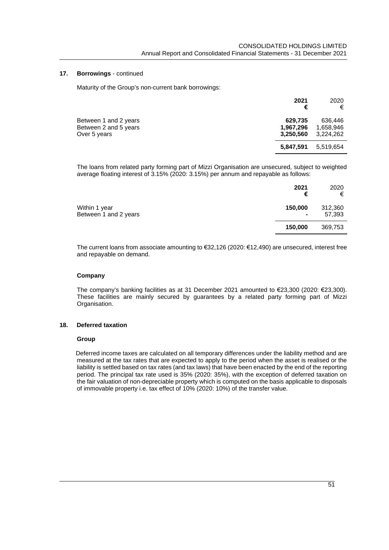#### **17. Borrowings** - continued

Maturity of the Group's non-current bank borrowings:

|                                       | 2021<br>€              | 2020<br>€              |
|---------------------------------------|------------------------|------------------------|
| Between 1 and 2 years                 | 629,735                | 636,446                |
| Between 2 and 5 years<br>Over 5 years | 1,967,296<br>3,250,560 | 1,658,946<br>3.224.262 |
|                                       | 5.847.591              | 5.519.654              |

The loans from related party forming part of Mizzi Organisation are unsecured, subject to weighted average floating interest of 3.15% (2020: 3.15%) per annum and repayable as follows:

|                                        | 2021<br>€    | 2020<br>€         |
|----------------------------------------|--------------|-------------------|
| Within 1 year<br>Between 1 and 2 years | 150,000<br>۰ | 312,360<br>57,393 |
|                                        | 150,000      | 369,753           |

The current loans from associate amounting to €32,126 (2020: €12,490) are unsecured, interest free and repayable on demand.

#### **Company**

The company's banking facilities as at 31 December 2021 amounted to €23,300 (2020: €23,300). These facilities are mainly secured by guarantees by a related party forming part of Mizzi Organisation.

# **18. Deferred taxation**

# **Group**

Deferred income taxes are calculated on all temporary differences under the liability method and are measured at the tax rates that are expected to apply to the period when the asset is realised or the liability is settled based on tax rates (and tax laws) that have been enacted by the end of the reporting period. The principal tax rate used is 35% (2020: 35%), with the exception of deferred taxation on the fair valuation of non-depreciable property which is computed on the basis applicable to disposals of immovable property i.e. tax effect of 10% (2020: 10%) of the transfer value.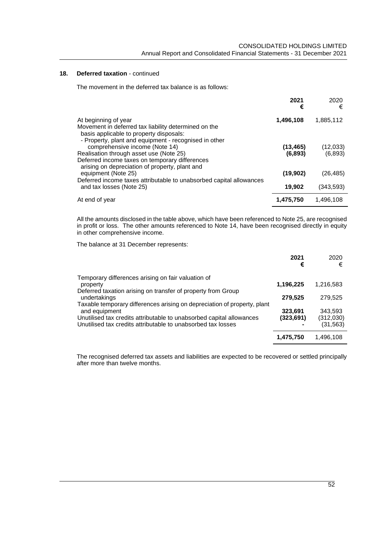#### **18. Deferred taxation** - continued

The movement in the deferred tax balance is as follows:

|                                                                                                                                                                                  | 2021<br>€            | 2020<br>€              |
|----------------------------------------------------------------------------------------------------------------------------------------------------------------------------------|----------------------|------------------------|
| At beginning of year<br>Movement in deferred tax liability determined on the<br>basis applicable to property disposals:<br>- Property, plant and equipment - recognised in other | 1,496,108            | 1,885,112              |
| comprehensive income (Note 14)<br>Realisation through asset use (Note 25)<br>Deferred income taxes on temporary differences<br>arising on depreciation of property, plant and    | (13, 465)<br>(6,893) | (12, 033)<br>(6,893)   |
| equipment (Note 25)<br>Deferred income taxes attributable to unabsorbed capital allowances<br>and tax losses (Note 25)                                                           | (19, 902)<br>19,902  | (26, 485)<br>(343,593) |
| At end of year                                                                                                                                                                   | 1,475,750            | 1.496.108              |

All the amounts disclosed in the table above, which have been referenced to Note 25, are recognised in profit or loss. The other amounts referenced to Note 14, have been recognised directly in equity in other comprehensive income.

The balance at 31 December represents:

|                                                                                                                                                                                                                                   | 2021<br>€            | 2020<br>€                        |
|-----------------------------------------------------------------------------------------------------------------------------------------------------------------------------------------------------------------------------------|----------------------|----------------------------------|
| Temporary differences arising on fair valuation of<br>property                                                                                                                                                                    | 1,196,225            | 1,216,583                        |
| Deferred taxation arising on transfer of property from Group<br>undertakings                                                                                                                                                      | 279,525              | 279.525                          |
| Taxable temporary differences arising on depreciation of property, plant<br>and equipment<br>Unutilised tax credits attributable to unabsorbed capital allowances<br>Unutilised tax credits attributable to unabsorbed tax losses | 323.691<br>(323,691) | 343.593<br>(312,030)<br>(31,563) |
|                                                                                                                                                                                                                                   | 1,475,750            | 1.496.108                        |

The recognised deferred tax assets and liabilities are expected to be recovered or settled principally after more than twelve months.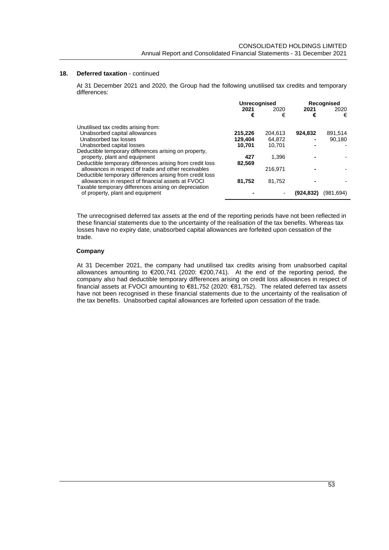#### **18. Deferred taxation** - continued

At 31 December 2021 and 2020, the Group had the following unutilised tax credits and temporary differences:

| Unrecognised |         | Recognised |            |
|--------------|---------|------------|------------|
| 2021<br>2020 |         | 2021       | 2020       |
| €            | €       | €          | €          |
|              |         |            |            |
| 215,226      | 204,613 | 924.832    | 891,514    |
| 129,404      | 64.872  |            | 90,180     |
| 10,701       | 10,701  |            |            |
|              |         |            |            |
| 427          | 1.396   |            |            |
| 82.569       |         |            |            |
|              | 216,971 |            |            |
|              |         |            |            |
|              |         |            |            |
|              |         |            |            |
|              |         | (924,832)  | (981, 694) |
|              | 81,752  | 81,752     |            |

The unrecognised deferred tax assets at the end of the reporting periods have not been reflected in these financial statements due to the uncertainty of the realisation of the tax benefits. Whereas tax losses have no expiry date, unabsorbed capital allowances are forfeited upon cessation of the trade.

# **Company**

At 31 December 2021, the company had unutilised tax credits arising from unabsorbed capital allowances amounting to €200,741 (2020: €200,741). At the end of the reporting period, the company also had deductible temporary differences arising on credit loss allowances in respect of financial assets at FVOCI amounting to €81,752 (2020: €81,752). The related deferred tax assets have not been recognised in these financial statements due to the uncertainty of the realisation of the tax benefits. Unabsorbed capital allowances are forfeited upon cessation of the trade.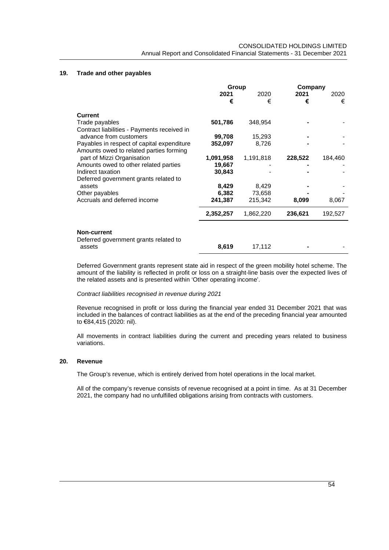# **19. Trade and other payables**

|                                                                                       | Group     |           | Company |         |
|---------------------------------------------------------------------------------------|-----------|-----------|---------|---------|
|                                                                                       | 2021      | 2020      | 2021    | 2020    |
|                                                                                       | €         | €         | €       | €       |
| <b>Current</b><br>Trade payables                                                      | 501,786   | 348,954   |         |         |
| Contract liabilities - Payments received in                                           |           |           |         |         |
| advance from customers                                                                | 99,708    | 15,293    |         |         |
| Payables in respect of capital expenditure<br>Amounts owed to related parties forming | 352,097   | 8,726     |         |         |
| part of Mizzi Organisation                                                            | 1,091,958 | 1,191,818 | 228,522 | 184,460 |
| Amounts owed to other related parties                                                 | 19,667    |           |         |         |
| Indirect taxation<br>Deferred government grants related to                            | 30,843    |           |         |         |
| assets                                                                                | 8,429     | 8,429     |         |         |
| Other payables                                                                        | 6,382     | 73,658    |         |         |
| Accruals and deferred income                                                          | 241,387   | 215,342   | 8,099   | 8,067   |
|                                                                                       | 2,352,257 | 1,862,220 | 236,621 | 192,527 |
| Non-current<br>Deferred government grants related to<br>assets                        | 8,619     | 17,112    |         |         |

Deferred Government grants represent state aid in respect of the green mobility hotel scheme. The amount of the liability is reflected in profit or loss on a straight-line basis over the expected lives of the related assets and is presented within 'Other operating income'.

#### *Contract liabilities recognised in revenue during 2021*

Revenue recognised in profit or loss during the financial year ended 31 December 2021 that was included in the balances of contract liabilities as at the end of the preceding financial year amounted to €84,415 (2020: nil).

All movements in contract liabilities during the current and preceding years related to business variations.

# **20. Revenue**

The Group's revenue, which is entirely derived from hotel operations in the local market.

All of the company's revenue consists of revenue recognised at a point in time. As at 31 December 2021, the company had no unfulfilled obligations arising from contracts with customers.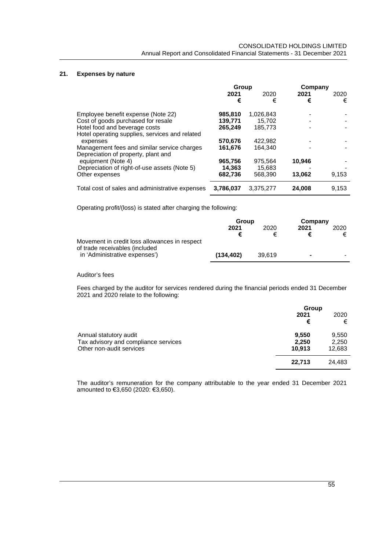# **21. Expenses by nature**

|                                                 | Group     |           | Company |       |
|-------------------------------------------------|-----------|-----------|---------|-------|
|                                                 | 2021      | 2020      | 2021    | 2020  |
|                                                 | €         | €         | €       | €     |
| Employee benefit expense (Note 22)              | 985,810   | 1,026,843 |         |       |
| Cost of goods purchased for resale              | 139,771   | 15.702    |         |       |
| Hotel food and beverage costs                   | 265,249   | 185,773   |         |       |
| Hotel operating supplies, services and related  |           |           |         |       |
| expenses                                        | 570,676   | 422.982   |         |       |
| Management fees and similar service charges     | 161,676   | 164.340   |         |       |
| Depreciation of property, plant and             |           |           |         |       |
| equipment (Note 4)                              | 965,756   | 975.564   | 10.946  |       |
| Depreciation of right-of-use assets (Note 5)    | 14,363    | 15.683    |         |       |
| Other expenses                                  | 682,736   | 568,390   | 13,062  | 9,153 |
| Total cost of sales and administrative expenses | 3.786.037 | 3,375,277 | 24.008  | 9,153 |

Operating profit/(loss) is stated after charging the following:

|                                                                                 | Group     |        | Company |      |
|---------------------------------------------------------------------------------|-----------|--------|---------|------|
|                                                                                 | 2021      | 2020   | 2021    | 2020 |
|                                                                                 |           |        |         |      |
| Movement in credit loss allowances in respect<br>of trade receivables (included |           |        |         |      |
| in 'Administrative expenses')                                                   | (134.402) | 39.619 |         |      |

#### Auditor's fees

Fees charged by the auditor for services rendered during the financial periods ended 31 December 2021 and 2020 relate to the following:

|                                                                                            | Group                    |                          |  |
|--------------------------------------------------------------------------------------------|--------------------------|--------------------------|--|
|                                                                                            | 2021<br>€                | 2020<br>€                |  |
| Annual statutory audit<br>Tax advisory and compliance services<br>Other non-audit services | 9,550<br>2,250<br>10.913 | 9,550<br>2,250<br>12,683 |  |
|                                                                                            | 22,713                   | 24,483                   |  |

The auditor's remuneration for the company attributable to the year ended 31 December 2021 amounted to €3,650 (2020: €3,650).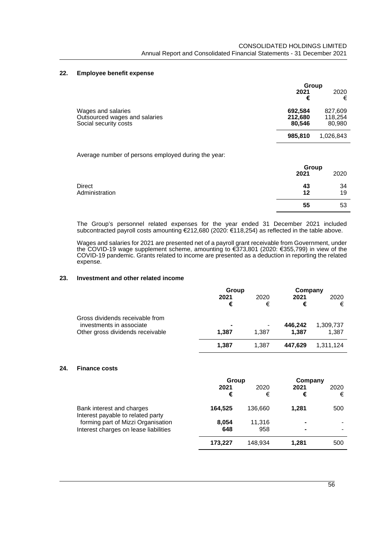#### **22. Employee benefit expense**

|                                                                              |                              | Group                        |  |  |
|------------------------------------------------------------------------------|------------------------------|------------------------------|--|--|
|                                                                              | 2021<br>€                    | 2020<br>€                    |  |  |
| Wages and salaries<br>Outsourced wages and salaries<br>Social security costs | 692,584<br>212,680<br>80,546 | 827,609<br>118,254<br>80,980 |  |  |
|                                                                              | 985,810                      | 1,026,843                    |  |  |
|                                                                              |                              |                              |  |  |

Average number of persons employed during the year:

|                          | Group<br>2021 | 2020     |
|--------------------------|---------------|----------|
| Direct<br>Administration | 43<br>12      | 34<br>19 |
|                          | 55            | 53       |

The Group's personnel related expenses for the year ended 31 December 2021 included subcontracted payroll costs amounting €212,680 (2020: €118,254) as reflected in the table above.

Wages and salaries for 2021 are presented net of a payroll grant receivable from Government, under the COVID-19 wage supplement scheme, amounting to €373,801 (2020: €355,799) in view of the COVID-19 pandemic. Grants related to income are presented as a deduction in reporting the related expense.

# **23. Investment and other related income**

|                                  | Group |                              | Company |           |
|----------------------------------|-------|------------------------------|---------|-----------|
|                                  | 2021  | 2020                         | 2021    | 2020      |
|                                  | €     | €                            | €       | €         |
| Gross dividends receivable from  |       |                              |         |           |
| investments in associate         |       | $\qquad \qquad \blacksquare$ | 446.242 | 1,309,737 |
| Other gross dividends receivable | 1.387 | 1.387                        | 1.387   | 1.387     |
|                                  | 1,387 | 1.387                        | 447.629 | 1.311.124 |

# **24. Finance costs**

|                                                                | Group     |           | Company   |           |
|----------------------------------------------------------------|-----------|-----------|-----------|-----------|
|                                                                | 2021<br>€ | 2020<br>€ | 2021<br>€ | 2020<br>€ |
| Bank interest and charges<br>Interest payable to related party | 164.525   | 136.660   | 1.281     | 500       |
| forming part of Mizzi Organisation                             | 8.054     | 11.316    | -         |           |
| Interest charges on lease liabilities                          | 648       | 958       | -         |           |
|                                                                | 173.227   | 148.934   | 1.281     | 500       |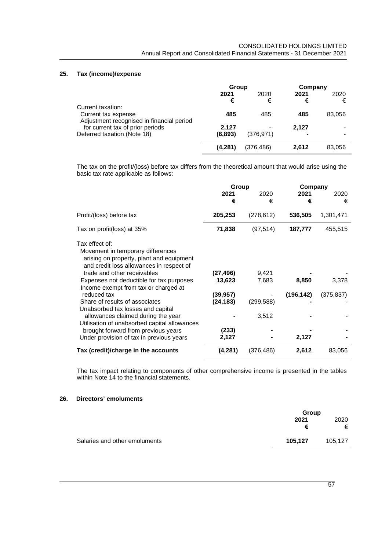# **25. Tax (income)/expense**

|                                                                                       | Group            |           | Company   |           |
|---------------------------------------------------------------------------------------|------------------|-----------|-----------|-----------|
|                                                                                       | 2021<br>€        | 2020<br>€ | 2021<br>€ | 2020<br>€ |
| Current taxation:<br>Current tax expense<br>Adjustment recognised in financial period | 485              | 485       | 485       | 83,056    |
| for current tax of prior periods<br>Deferred taxation (Note 18)                       | 2.127<br>(6,893) | (376.971) | 2.127     |           |
|                                                                                       | (4,281)          | (376.486) | 2.612     | 83,056    |

The tax on the profit/(loss) before tax differs from the theoretical amount that would arise using the basic tax rate applicable as follows:

|                                              | Group     |            | Company    |            |
|----------------------------------------------|-----------|------------|------------|------------|
|                                              | 2021      | 2020       | 2021       | 2020       |
|                                              | €         | €          | €          | €          |
| Profit/(loss) before tax                     | 205,253   | (278, 612) | 536,505    | 1,301,471  |
| Tax on profit(loss) at 35%                   | 71,838    | (97, 514)  | 187,777    | 455,515    |
| Tax effect of:                               |           |            |            |            |
| Movement in temporary differences            |           |            |            |            |
| arising on property, plant and equipment     |           |            |            |            |
| and credit loss allowances in respect of     |           |            |            |            |
| trade and other receivables                  | (27,496)  | 9,421      |            |            |
| Expenses not deductible for tax purposes     | 13,623    | 7,683      | 8,850      | 3,378      |
| Income exempt from tax or charged at         |           |            |            |            |
| reduced tax                                  | (39, 957) |            | (196, 142) | (375, 837) |
| Share of results of associates               | (24,183)  | (299, 588) |            |            |
| Unabsorbed tax losses and capital            |           |            |            |            |
| allowances claimed during the year           |           | 3,512      |            |            |
| Utilisation of unabsorbed capital allowances |           |            |            |            |
| brought forward from previous years          | (233)     |            |            |            |
| Under provision of tax in previous years     | 2,127     |            | 2,127      |            |
| Tax (credit)/charge in the accounts          | (4,281)   | (376, 486) | 2,612      | 83,056     |

The tax impact relating to components of other comprehensive income is presented in the tables within Note 14 to the financial statements.

# **26. Directors' emoluments**

|                               | Group   |         |  |
|-------------------------------|---------|---------|--|
|                               | 2021    | 2020    |  |
|                               | €       | €       |  |
| Salaries and other emoluments | 105,127 | 105.127 |  |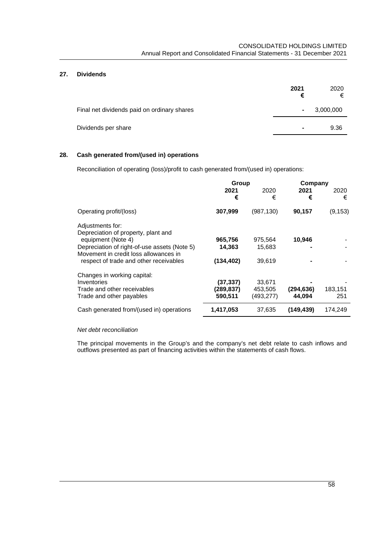# **27. Dividends**

|                                             | 2021<br>€      | 2020<br>€ |
|---------------------------------------------|----------------|-----------|
| Final net dividends paid on ordinary shares | ۰              | 3,000,000 |
| Dividends per share                         | $\blacksquare$ | 9.36      |

# **28. Cash generated from/(used in) operations**

Reconciliation of operating (loss)/profit to cash generated from/(used in) operations:

|                                                           | Group      |            | Company    |           |
|-----------------------------------------------------------|------------|------------|------------|-----------|
|                                                           | 2021<br>€  | 2020<br>€  | 2021<br>€  | 2020<br>€ |
| Operating profit/(loss)                                   | 307,999    | (987, 130) | 90,157     | (9, 153)  |
| Adjustments for:                                          |            |            |            |           |
| Depreciation of property, plant and<br>equipment (Note 4) | 965,756    | 975,564    | 10,946     |           |
| Depreciation of right-of-use assets (Note 5)              | 14,363     | 15,683     |            |           |
| Movement in credit loss allowances in                     |            |            |            |           |
| respect of trade and other receivables                    | (134, 402) | 39,619     |            |           |
| Changes in working capital:                               |            |            |            |           |
| Inventories                                               | (37, 337)  | 33,671     |            |           |
| Trade and other receivables                               | (289,837)  | 453,505    | (294, 636) | 183,151   |
| Trade and other payables                                  | 590,511    | (493,277)  | 44,094     | 251       |
| Cash generated from/(used in) operations                  | 1,417,053  | 37,635     | (149, 439) | 174,249   |

#### *Net debt reconciliation*

The principal movements in the Group's and the company's net debt relate to cash inflows and outflows presented as part of financing activities within the statements of cash flows.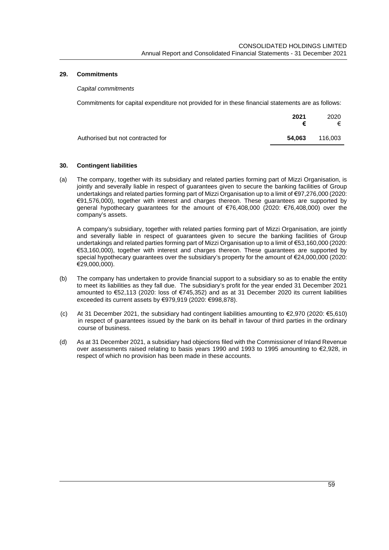# **29. Commitments**

#### *Capital commitments*

Commitments for capital expenditure not provided for in these financial statements are as follows:

|                                   | 2021<br>€ | 2020<br>€ |
|-----------------------------------|-----------|-----------|
| Authorised but not contracted for | 54.063    | 116.003   |

#### **30. Contingent liabilities**

(a) The company, together with its subsidiary and related parties forming part of Mizzi Organisation, is jointly and severally liable in respect of guarantees given to secure the banking facilities of Group undertakings and related parties forming part of Mizzi Organisation up to a limit of €97,276,000 (2020: €91,576,000), together with interest and charges thereon. These guarantees are supported by general hypothecary guarantees for the amount of €76,408,000 (2020: €76,408,000) over the company's assets.

A company's subsidiary, together with related parties forming part of Mizzi Organisation, are jointly and severally liable in respect of guarantees given to secure the banking facilities of Group undertakings and related parties forming part of Mizzi Organisation up to a limit of €53,160,000 (2020: €53,160,000), together with interest and charges thereon. These guarantees are supported by special hypothecary guarantees over the subsidiary's property for the amount of €24,000,000 (2020: €29,000,000).

- (b) The company has undertaken to provide financial support to a subsidiary so as to enable the entity to meet its liabilities as they fall due. The subsidiary's profit for the year ended 31 December 2021 amounted to €52,113 (2020: loss of €745,352) and as at 31 December 2020 its current liabilities exceeded its current assets by €979,919 (2020: €998,878).
- (c) At 31 December 2021, the subsidiary had contingent liabilities amounting to  $\epsilon$ 2,970 (2020:  $\epsilon$ 5,610) in respect of guarantees issued by the bank on its behalf in favour of third parties in the ordinary course of business.
- (d) As at 31 December 2021, a subsidiary had objections filed with the Commissioner of Inland Revenue over assessments raised relating to basis years 1990 and 1993 to 1995 amounting to €2,928, in respect of which no provision has been made in these accounts.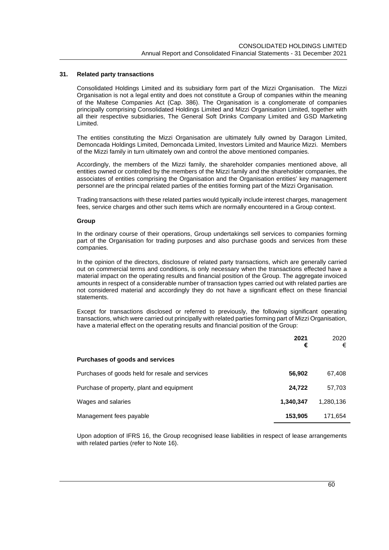# **31. Related party transactions**

Consolidated Holdings Limited and its subsidiary form part of the Mizzi Organisation. The Mizzi Organisation is not a legal entity and does not constitute a Group of companies within the meaning of the Maltese Companies Act (Cap. 386). The Organisation is a conglomerate of companies principally comprising Consolidated Holdings Limited and Mizzi Organisation Limited, together with all their respective subsidiaries, The General Soft Drinks Company Limited and GSD Marketing Limited.

The entities constituting the Mizzi Organisation are ultimately fully owned by Daragon Limited, Demoncada Holdings Limited, Demoncada Limited, Investors Limited and Maurice Mizzi. Members of the Mizzi family in turn ultimately own and control the above mentioned companies.

Accordingly, the members of the Mizzi family, the shareholder companies mentioned above, all entities owned or controlled by the members of the Mizzi family and the shareholder companies, the associates of entities comprising the Organisation and the Organisation entities' key management personnel are the principal related parties of the entities forming part of the Mizzi Organisation.

Trading transactions with these related parties would typically include interest charges, management fees, service charges and other such items which are normally encountered in a Group context.

#### **Group**

In the ordinary course of their operations, Group undertakings sell services to companies forming part of the Organisation for trading purposes and also purchase goods and services from these companies.

In the opinion of the directors, disclosure of related party transactions, which are generally carried out on commercial terms and conditions, is only necessary when the transactions effected have a material impact on the operating results and financial position of the Group. The aggregate invoiced amounts in respect of a considerable number of transaction types carried out with related parties are not considered material and accordingly they do not have a significant effect on these financial statements.

Except for transactions disclosed or referred to previously, the following significant operating transactions, which were carried out principally with related parties forming part of Mizzi Organisation, have a material effect on the operating results and financial position of the Group:

|                                                 | 2021<br>€ | 2020<br>€ |
|-------------------------------------------------|-----------|-----------|
| Purchases of goods and services                 |           |           |
| Purchases of goods held for resale and services | 56,902    | 67,408    |
| Purchase of property, plant and equipment       | 24,722    | 57,703    |
| Wages and salaries                              | 1,340,347 | 1,280,136 |
| Management fees payable                         | 153,905   | 171,654   |

Upon adoption of IFRS 16, the Group recognised lease liabilities in respect of lease arrangements with related parties (refer to Note 16).